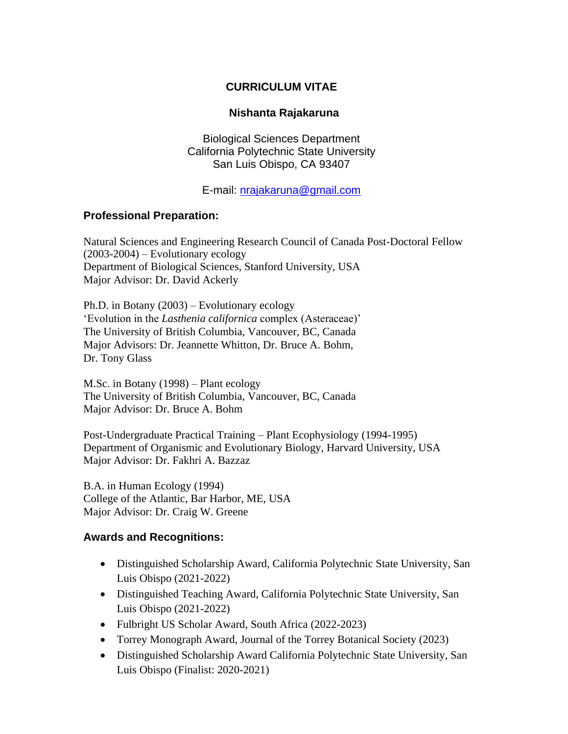### **CURRICULUM VITAE**

### **Nishanta Rajakaruna**

Biological Sciences Department California Polytechnic State University San Luis Obispo, CA 93407

E-mail: nrajakaruna@gmail.com

### **Professional Preparation:**

Natural Sciences and Engineering Research Council of Canada Post-Doctoral Fellow (2003-2004) – Evolutionary ecology Department of Biological Sciences, Stanford University, USA Major Advisor: Dr. David Ackerly

Ph.D. in Botany (2003) – Evolutionary ecology 'Evolution in the *Lasthenia californica* complex (Asteraceae)' The University of British Columbia, Vancouver, BC, Canada Major Advisors: Dr. Jeannette Whitton, Dr. Bruce A. Bohm, Dr. Tony Glass

M.Sc. in Botany (1998) – Plant ecology The University of British Columbia, Vancouver, BC, Canada Major Advisor: Dr. Bruce A. Bohm

Post-Undergraduate Practical Training – Plant Ecophysiology (1994-1995) Department of Organismic and Evolutionary Biology, Harvard University, USA Major Advisor: Dr. Fakhri A. Bazzaz

B.A. in Human Ecology (1994) College of the Atlantic, Bar Harbor, ME, USA Major Advisor: Dr. Craig W. Greene

### **Awards and Recognitions:**

- Distinguished Scholarship Award, California Polytechnic State University, San Luis Obispo (2021-2022)
- Distinguished Teaching Award, California Polytechnic State University, San Luis Obispo (2021-2022)
- Fulbright US Scholar Award, South Africa (2022-2023)
- Torrey Monograph Award, Journal of the Torrey Botanical Society (2023)
- Distinguished Scholarship Award California Polytechnic State University, San Luis Obispo (Finalist: 2020-2021)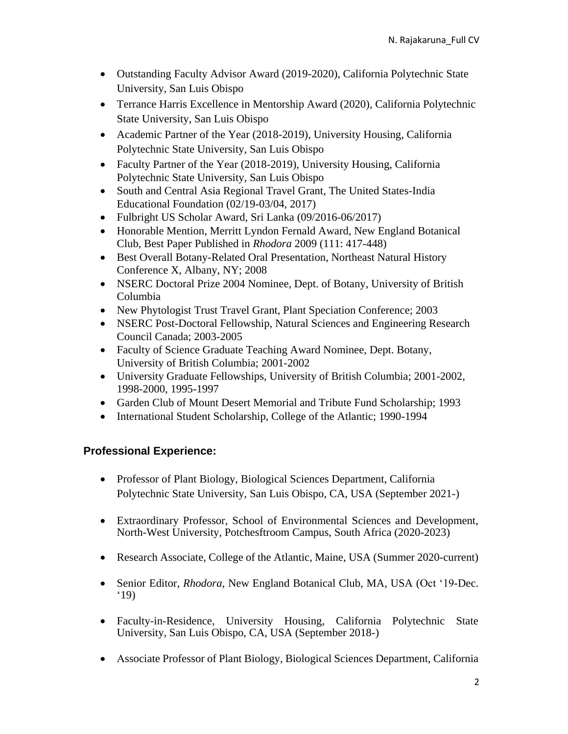- Outstanding Faculty Advisor Award (2019-2020), California Polytechnic State University, San Luis Obispo
- Terrance Harris Excellence in Mentorship Award (2020), California Polytechnic State University, San Luis Obispo
- Academic Partner of the Year (2018-2019), University Housing, California Polytechnic State University, San Luis Obispo
- Faculty Partner of the Year (2018-2019), University Housing, California Polytechnic State University, San Luis Obispo
- South and Central Asia Regional Travel Grant, The United States-India Educational Foundation (02/19-03/04, 2017)
- Fulbright US Scholar Award, Sri Lanka (09/2016-06/2017)
- Honorable Mention, Merritt Lyndon Fernald Award, New England Botanical Club, Best Paper Published in *Rhodora* 2009 (111: 417-448)
- Best Overall Botany-Related Oral Presentation, Northeast Natural History Conference X, Albany, NY; 2008
- NSERC Doctoral Prize 2004 Nominee, Dept. of Botany, University of British Columbia
- New Phytologist Trust Travel Grant, Plant Speciation Conference; 2003
- NSERC Post-Doctoral Fellowship, Natural Sciences and Engineering Research Council Canada; 2003-2005
- Faculty of Science Graduate Teaching Award Nominee, Dept. Botany, University of British Columbia; 2001-2002
- University Graduate Fellowships, University of British Columbia; 2001-2002, 1998-2000, 1995-1997
- Garden Club of Mount Desert Memorial and Tribute Fund Scholarship; 1993
- International Student Scholarship, College of the Atlantic; 1990-1994

# **Professional Experience:**

- Professor of Plant Biology, Biological Sciences Department, California Polytechnic State University, San Luis Obispo, CA, USA (September 2021-)
- Extraordinary Professor, School of Environmental Sciences and Development, North-West University, Potchesftroom Campus, South Africa (2020-2023)
- Research Associate, College of the Atlantic, Maine, USA (Summer 2020-current)
- Senior Editor, *Rhodora*, New England Botanical Club, MA, USA (Oct '19-Dec. '19)
- Faculty-in-Residence, University Housing, California Polytechnic State University, San Luis Obispo, CA, USA (September 2018-)
- Associate Professor of Plant Biology, Biological Sciences Department, California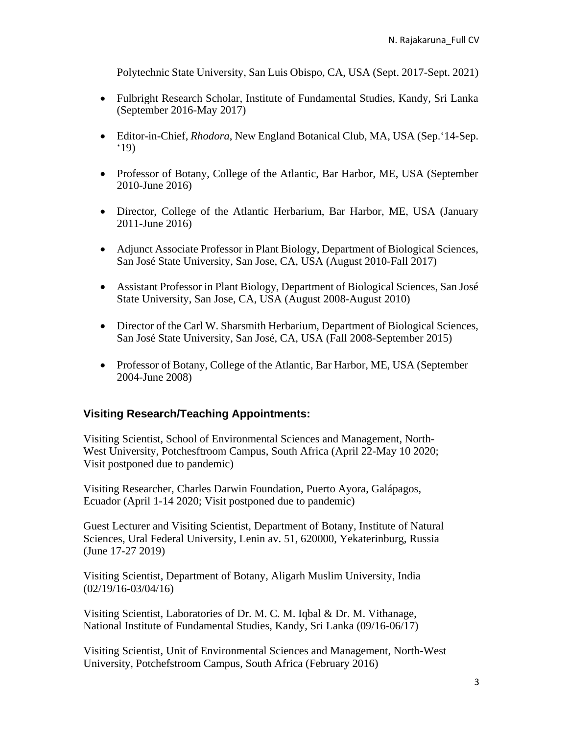Polytechnic State University, San Luis Obispo, CA, USA (Sept. 2017-Sept. 2021)

- Fulbright Research Scholar, Institute of Fundamental Studies, Kandy, Sri Lanka (September 2016-May 2017)
- Editor-in-Chief, *Rhodora*, New England Botanical Club, MA, USA (Sep.'14-Sep. '19)
- Professor of Botany, College of the Atlantic, Bar Harbor, ME, USA (September 2010-June 2016)
- Director, College of the Atlantic Herbarium, Bar Harbor, ME, USA (January 2011-June 2016)
- Adjunct Associate Professor in Plant Biology, Department of Biological Sciences, San José State University, San Jose, CA, USA (August 2010-Fall 2017)
- Assistant Professor in Plant Biology, Department of Biological Sciences, San José State University, San Jose, CA, USA (August 2008-August 2010)
- Director of the Carl W. Sharsmith Herbarium, Department of Biological Sciences, San José State University, San José, CA, USA (Fall 2008-September 2015)
- Professor of Botany, College of the Atlantic, Bar Harbor, ME, USA (September 2004-June 2008)

### **Visiting Research/Teaching Appointments:**

Visiting Scientist, School of Environmental Sciences and Management, North-West University, Potchesftroom Campus, South Africa (April 22-May 10 2020; Visit postponed due to pandemic)

Visiting Researcher, Charles Darwin Foundation, Puerto Ayora, Galápagos, Ecuador (April 1-14 2020; Visit postponed due to pandemic)

Guest Lecturer and Visiting Scientist, Department of Botany, Institute of Natural Sciences, Ural Federal University, Lenin av. 51, 620000, Yekaterinburg, Russia (June 17-27 2019)

Visiting Scientist, Department of Botany, Aligarh Muslim University, India (02/19/16-03/04/16)

Visiting Scientist, Laboratories of Dr. M. C. M. Iqbal & Dr. M. Vithanage, National Institute of Fundamental Studies, Kandy, Sri Lanka (09/16-06/17)

Visiting Scientist, Unit of Environmental Sciences and Management, North-West University, Potchefstroom Campus, South Africa (February 2016)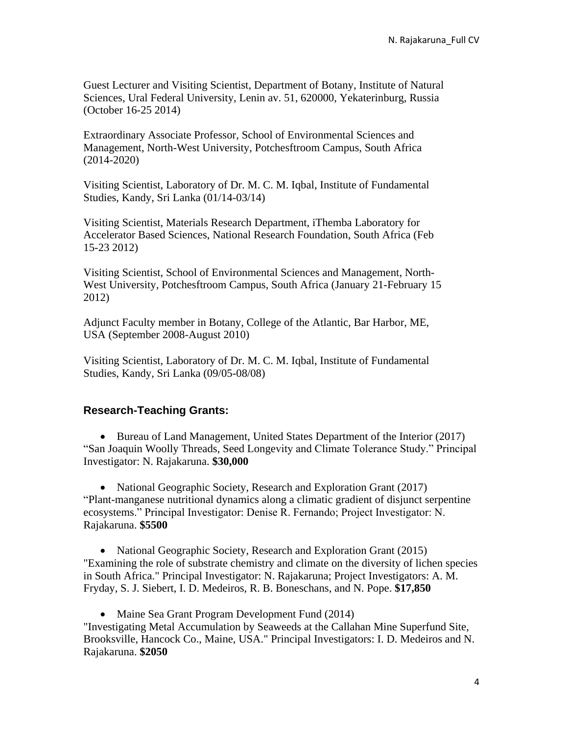Guest Lecturer and Visiting Scientist, Department of Botany, Institute of Natural Sciences, Ural Federal University, Lenin av. 51, 620000, Yekaterinburg, Russia (October 16-25 2014)

Extraordinary Associate Professor, School of Environmental Sciences and Management, North-West University, Potchesftroom Campus, South Africa (2014-2020)

Visiting Scientist, Laboratory of Dr. M. C. M. Iqbal, Institute of Fundamental Studies, Kandy, Sri Lanka (01/14-03/14)

Visiting Scientist, Materials Research Department, iThemba Laboratory for Accelerator Based Sciences, National Research Foundation, South Africa (Feb 15-23 2012)

Visiting Scientist, School of Environmental Sciences and Management, North-West University, Potchesftroom Campus, South Africa (January 21-February 15 2012)

Adjunct Faculty member in Botany, College of the Atlantic, Bar Harbor, ME, USA (September 2008-August 2010)

Visiting Scientist, Laboratory of Dr. M. C. M. Iqbal, Institute of Fundamental Studies, Kandy, Sri Lanka (09/05-08/08)

### **Research-Teaching Grants:**

• Bureau of Land Management, United States Department of the Interior (2017) "San Joaquin Woolly Threads, Seed Longevity and Climate Tolerance Study." Principal Investigator: N. Rajakaruna. **\$30,000**

• National Geographic Society, Research and Exploration Grant (2017) "Plant-manganese nutritional dynamics along a climatic gradient of disjunct serpentine ecosystems." Principal Investigator: Denise R. Fernando; Project Investigator: N. Rajakaruna. **\$5500**

• National Geographic Society, Research and Exploration Grant (2015) "Examining the role of substrate chemistry and climate on the diversity of lichen species in South Africa." Principal Investigator: N. Rajakaruna; Project Investigators: A. M. Fryday, S. J. Siebert, I. D. Medeiros, R. B. Boneschans, and N. Pope. **\$17,850**

• Maine Sea Grant Program Development Fund (2014) "Investigating Metal Accumulation by Seaweeds at the Callahan Mine Superfund Site, Brooksville, Hancock Co., Maine, USA." Principal Investigators: I. D. Medeiros and N. Rajakaruna. **\$2050**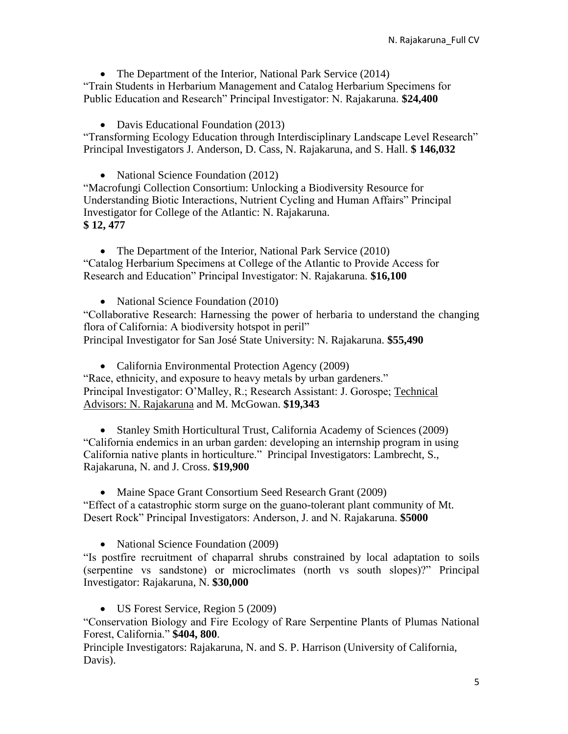• The Department of the Interior, National Park Service (2014)

"Train Students in Herbarium Management and Catalog Herbarium Specimens for Public Education and Research" Principal Investigator: N. Rajakaruna. **\$24,400**

• Davis Educational Foundation (2013) "Transforming Ecology Education through Interdisciplinary Landscape Level Research" Principal Investigators J. Anderson, D. Cass, N. Rajakaruna, and S. Hall. **\$ 146,032**

• National Science Foundation (2012)

"Macrofungi Collection Consortium: Unlocking a Biodiversity Resource for Understanding Biotic Interactions, Nutrient Cycling and Human Affairs" Principal Investigator for College of the Atlantic: N. Rajakaruna. **\$ 12, 477**

• The Department of the Interior, National Park Service (2010) "Catalog Herbarium Specimens at College of the Atlantic to Provide Access for Research and Education" Principal Investigator: N. Rajakaruna. **\$16,100**

• National Science Foundation (2010)

"Collaborative Research: Harnessing the power of herbaria to understand the changing flora of California: A biodiversity hotspot in peril" Principal Investigator for San José State University: N. Rajakaruna. **\$55,490**

• California Environmental Protection Agency (2009)

"Race, ethnicity, and exposure to heavy metals by urban gardeners." Principal Investigator: O'Malley, R.; Research Assistant: J. Gorospe; Technical Advisors: N. Rajakaruna and M. McGowan. **\$19,343**

• Stanley Smith Horticultural Trust, California Academy of Sciences (2009) "California endemics in an urban garden: developing an internship program in using California native plants in horticulture." Principal Investigators: Lambrecht, S., Rajakaruna, N. and J. Cross. **\$19,900**

• Maine Space Grant Consortium Seed Research Grant (2009) "Effect of a catastrophic storm surge on the guano-tolerant plant community of Mt. Desert Rock" Principal Investigators: Anderson, J. and N. Rajakaruna. **\$5000**

• National Science Foundation (2009)

"Is postfire recruitment of chaparral shrubs constrained by local adaptation to soils (serpentine vs sandstone) or microclimates (north vs south slopes)?" Principal Investigator: Rajakaruna, N. **\$30,000**

• US Forest Service, Region 5 (2009)

"Conservation Biology and Fire Ecology of Rare Serpentine Plants of Plumas National Forest, California." **\$404, 800**.

Principle Investigators: Rajakaruna, N. and S. P. Harrison (University of California, Davis).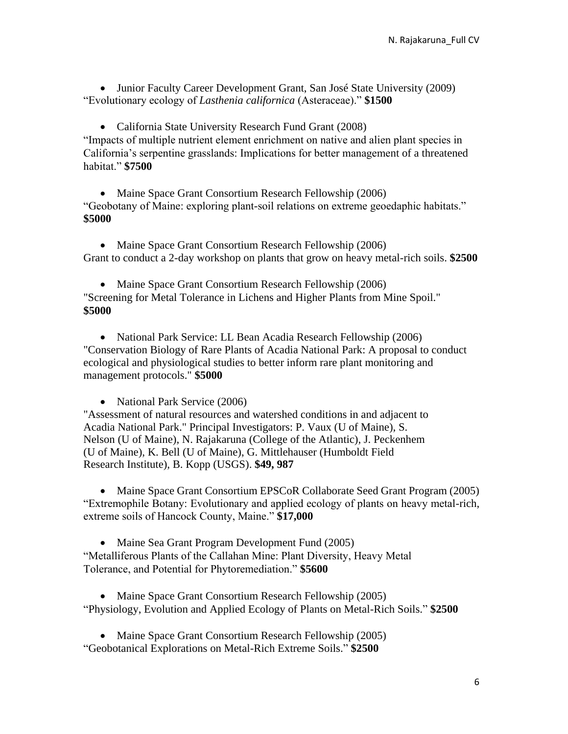• Junior Faculty Career Development Grant, San José State University (2009) "Evolutionary ecology of *Lasthenia californica* (Asteraceae)." **\$1500**

• California State University Research Fund Grant (2008)

"Impacts of multiple nutrient element enrichment on native and alien plant species in California's serpentine grasslands: Implications for better management of a threatened habitat." **\$7500**

• Maine Space Grant Consortium Research Fellowship (2006) "Geobotany of Maine: exploring plant-soil relations on extreme geoedaphic habitats." **\$5000**

• Maine Space Grant Consortium Research Fellowship (2006) Grant to conduct a 2-day workshop on plants that grow on heavy metal-rich soils. **\$2500**

• Maine Space Grant Consortium Research Fellowship (2006) "Screening for Metal Tolerance in Lichens and Higher Plants from Mine Spoil." **\$5000**

• National Park Service: LL Bean Acadia Research Fellowship (2006) "Conservation Biology of Rare Plants of Acadia National Park: A proposal to conduct ecological and physiological studies to better inform rare plant monitoring and management protocols." **\$5000**

• National Park Service (2006)

"Assessment of natural resources and watershed conditions in and adjacent to Acadia National Park." Principal Investigators: P. Vaux (U of Maine), S. Nelson (U of Maine), N. Rajakaruna (College of the Atlantic), J. Peckenhem (U of Maine), K. Bell (U of Maine), G. Mittlehauser (Humboldt Field Research Institute), B. Kopp (USGS). **\$49, 987**

• Maine Space Grant Consortium EPSCoR Collaborate Seed Grant Program (2005) "Extremophile Botany: Evolutionary and applied ecology of plants on heavy metal-rich, extreme soils of Hancock County, Maine." **\$17,000**

• Maine Sea Grant Program Development Fund (2005) "Metalliferous Plants of the Callahan Mine: Plant Diversity, Heavy Metal Tolerance, and Potential for Phytoremediation." **\$5600**

• Maine Space Grant Consortium Research Fellowship (2005) "Physiology, Evolution and Applied Ecology of Plants on Metal-Rich Soils." **\$2500**

• Maine Space Grant Consortium Research Fellowship (2005) "Geobotanical Explorations on Metal-Rich Extreme Soils." **\$2500**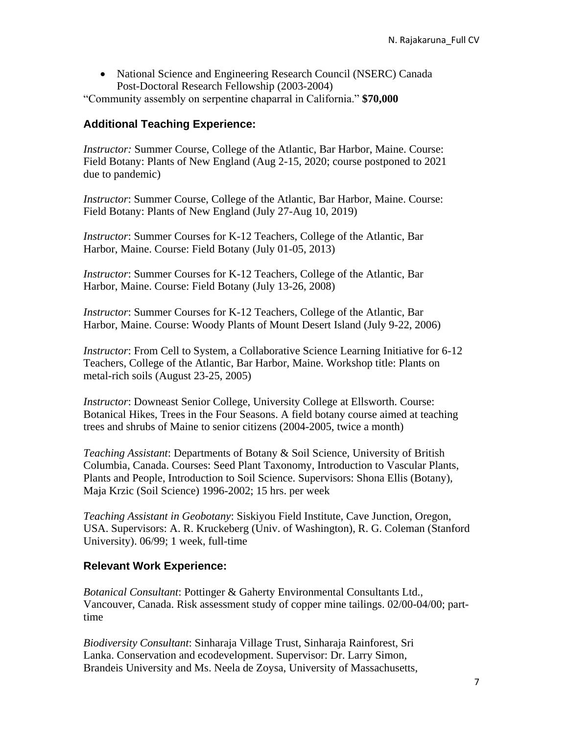• National Science and Engineering Research Council (NSERC) Canada Post-Doctoral Research Fellowship (2003-2004)

"Community assembly on serpentine chaparral in California." **\$70,000**

### **Additional Teaching Experience:**

*Instructor:* Summer Course, College of the Atlantic, Bar Harbor, Maine. Course: Field Botany: Plants of New England (Aug 2-15, 2020; course postponed to 2021 due to pandemic)

*Instructor*: Summer Course, College of the Atlantic, Bar Harbor, Maine. Course: Field Botany: Plants of New England (July 27-Aug 10, 2019)

*Instructor*: Summer Courses for K-12 Teachers, College of the Atlantic, Bar Harbor, Maine. Course: Field Botany (July 01-05, 2013)

*Instructor*: Summer Courses for K-12 Teachers, College of the Atlantic, Bar Harbor, Maine. Course: Field Botany (July 13-26, 2008)

*Instructor*: Summer Courses for K-12 Teachers, College of the Atlantic, Bar Harbor, Maine. Course: Woody Plants of Mount Desert Island (July 9-22, 2006)

*Instructor*: From Cell to System, a Collaborative Science Learning Initiative for 6-12 Teachers, College of the Atlantic, Bar Harbor, Maine. Workshop title: Plants on metal-rich soils (August 23-25, 2005)

*Instructor*: Downeast Senior College, University College at Ellsworth. Course: Botanical Hikes, Trees in the Four Seasons. A field botany course aimed at teaching trees and shrubs of Maine to senior citizens (2004-2005, twice a month)

*Teaching Assistant*: Departments of Botany & Soil Science, University of British Columbia, Canada. Courses: Seed Plant Taxonomy, Introduction to Vascular Plants, Plants and People, Introduction to Soil Science. Supervisors: Shona Ellis (Botany), Maja Krzic (Soil Science) 1996-2002; 15 hrs. per week

*Teaching Assistant in Geobotany*: Siskiyou Field Institute, Cave Junction, Oregon, USA. Supervisors: A. R. Kruckeberg (Univ. of Washington), R. G. Coleman (Stanford University). 06/99; 1 week, full-time

### **Relevant Work Experience:**

*Botanical Consultant*: Pottinger & Gaherty Environmental Consultants Ltd., Vancouver, Canada. Risk assessment study of copper mine tailings. 02/00-04/00; parttime

*Biodiversity Consultant*: Sinharaja Village Trust, Sinharaja Rainforest, Sri Lanka. Conservation and ecodevelopment. Supervisor: Dr. Larry Simon, Brandeis University and Ms. Neela de Zoysa, University of Massachusetts,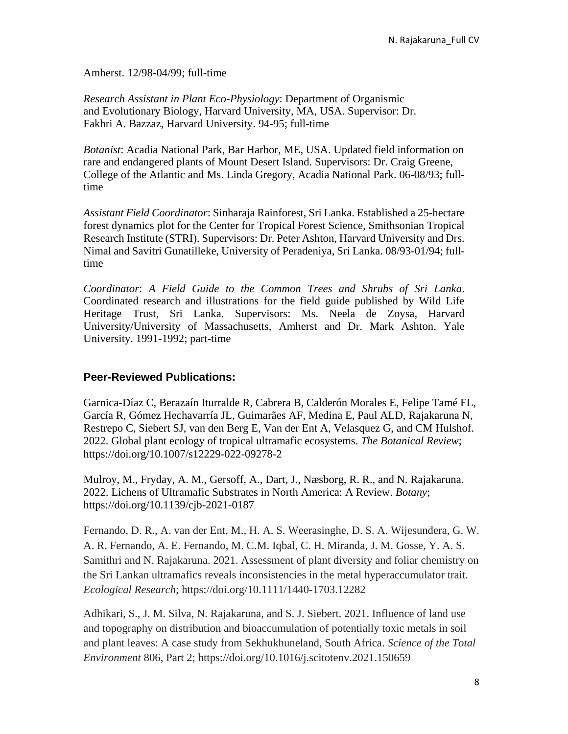Amherst. 12/98-04/99; full-time

*Research Assistant in Plant Eco-Physiology*: Department of Organismic and Evolutionary Biology, Harvard University, MA, USA. Supervisor: Dr. Fakhri A. Bazzaz, Harvard University. 94-95; full-time

*Botanist*: Acadia National Park, Bar Harbor, ME, USA. Updated field information on rare and endangered plants of Mount Desert Island. Supervisors: Dr. Craig Greene, College of the Atlantic and Ms. Linda Gregory, Acadia National Park. 06-08/93; fulltime

*Assistant Field Coordinator*: Sinharaja Rainforest, Sri Lanka. Established a 25-hectare forest dynamics plot for the Center for Tropical Forest Science, Smithsonian Tropical Research Institute (STRI). Supervisors: Dr. Peter Ashton, Harvard University and Drs. Nimal and Savitri Gunatilleke, University of Peradeniya, Sri Lanka. 08/93-01/94; fulltime

*Coordinator*: *A Field Guide to the Common Trees and Shrubs of Sri Lanka*. Coordinated research and illustrations for the field guide published by Wild Life Heritage Trust, Sri Lanka. Supervisors: Ms. Neela de Zoysa, Harvard University/University of Massachusetts, Amherst and Dr. Mark Ashton, Yale University. 1991-1992; part-time

### **Peer-Reviewed Publications:**

Garnica-Díaz C, Berazaín Iturralde R, Cabrera B, Calderón Morales E, Felipe Tamé FL, García R, Gómez Hechavarría JL, Guimarães AF, Medina E, Paul ALD, Rajakaruna N, Restrepo C, Siebert SJ, van den Berg E, Van der Ent A, Velasquez G, and CM Hulshof. 2022. Global plant ecology of tropical ultramafic ecosystems. *The Botanical Review*; https://doi.org/10.1007/s12229-022-09278-2

Mulroy, M., Fryday, A. M., Gersoff, A., Dart, J., Næsborg, R. R., and N. Rajakaruna. 2022. Lichens of Ultramafic Substrates in North America: A Review. *Botany*; https://doi.org/10.1139/cjb-2021-0187

Fernando, D. R., A. van der Ent, M., H. A. S. Weerasinghe, D. S. A. Wijesundera, G. W. A. R. Fernando, A. E. Fernando, M. C.M. Iqbal, C. H. Miranda, J. M. Gosse, Y. A. S. Samithri and N. Rajakaruna. 2021. Assessment of plant diversity and foliar chemistry on the Sri Lankan ultramafics reveals inconsistencies in the metal hyperaccumulator trait. *Ecological Research*; https://doi.org/10.1111/1440-1703.12282

Adhikari, S., J. M. Silva, N. Rajakaruna, and S. J. Siebert. 2021. Influence of land use and topography on distribution and bioaccumulation of potentially toxic metals in soil and plant leaves: A case study from Sekhukhuneland, South Africa. *Science of the Total Environment* 806, Part 2; https://doi.org/10.1016/j.scitotenv.2021.150659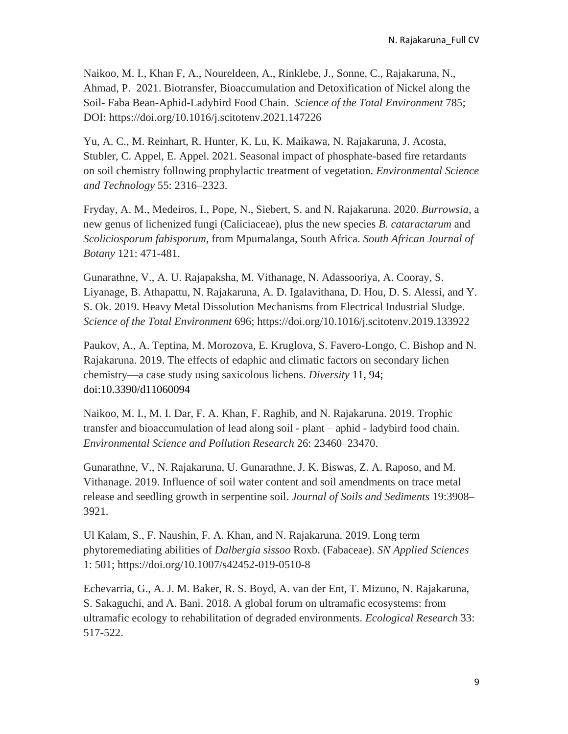Naikoo, M. I., Khan F, A., Noureldeen, A., Rinklebe, J., Sonne, C., Rajakaruna, N., Ahmad, P. 2021. Biotransfer, Bioaccumulation and Detoxification of Nickel along the Soil- Faba Bean-Aphid-Ladybird Food Chain. *Science of the Total Environment* 785; DOI: https://doi.org/10.1016/j.scitotenv.2021.147226

Yu, A. C., M. Reinhart, R. Hunter, K. Lu, K. Maikawa, N. Rajakaruna, J. Acosta, Stubler, C. Appel, E. Appel. 2021. Seasonal impact of phosphate-based fire retardants on soil chemistry following prophylactic treatment of vegetation. *Environmental Science and Technology* 55: 2316–2323.

Fryday, A. M., Medeiros, I., Pope, N., Siebert, S. and N. Rajakaruna. 2020. *Burrowsia*, a new genus of lichenized fungi (Caliciaceae), plus the new species *B. cataractarum* and *Scoliciosporum fabisporum*, from Mpumalanga, South Africa. *South African Journal of Botany* 121: 471-481.

Gunarathne, V., A. U. Rajapaksha, M. Vithanage, N. Adassooriya, A. Cooray, S. Liyanage, B. Athapattu, N. Rajakaruna, A. D. Igalavithana, D. Hou, D. S. Alessi, and Y. S. Ok. 2019. Heavy Metal Dissolution Mechanisms from Electrical Industrial Sludge. *Science of the Total Environment* 696; https://doi.org/10.1016/j.scitotenv.2019.133922

Paukov, A., A. Teptina, M. Morozova, E. Kruglova, S. Favero-Longo, C. Bishop and N. Rajakaruna. 2019. The effects of edaphic and climatic factors on secondary lichen chemistry—a case study using saxicolous lichens. *Diversity* 11, 94; doi:10.3390/d11060094

Naikoo, M. I., M. I. Dar, F. A. Khan, F. Raghib, and N. Rajakaruna. 2019. Trophic transfer and bioaccumulation of lead along soil - plant – aphid - ladybird food chain. *Environmental Science and Pollution Research* 26: 23460–23470.

Gunarathne, V., N. Rajakaruna, U. Gunarathne, J. K. Biswas, Z. A. Raposo, and M. Vithanage. 2019. Influence of soil water content and soil amendments on trace metal release and seedling growth in serpentine soil. *Journal of Soils and Sediments* 19:3908– 3921.

Ul Kalam, S., F. Naushin, F. A. Khan, and N. Rajakaruna. 2019. Long term phytoremediating abilities of *Dalbergia sissoo* Roxb. (Fabaceae). *SN Applied Sciences* 1: 501; https://doi.org/10.1007/s42452-019-0510-8

Echevarria, G., A. J. M. Baker, R. S. Boyd, A. van der Ent, T. Mizuno, N. Rajakaruna, S. Sakaguchi, and A. Bani. 2018. A global forum on ultramafic ecosystems: from ultramafic ecology to rehabilitation of degraded environments. *Ecological Research* 33: 517-522.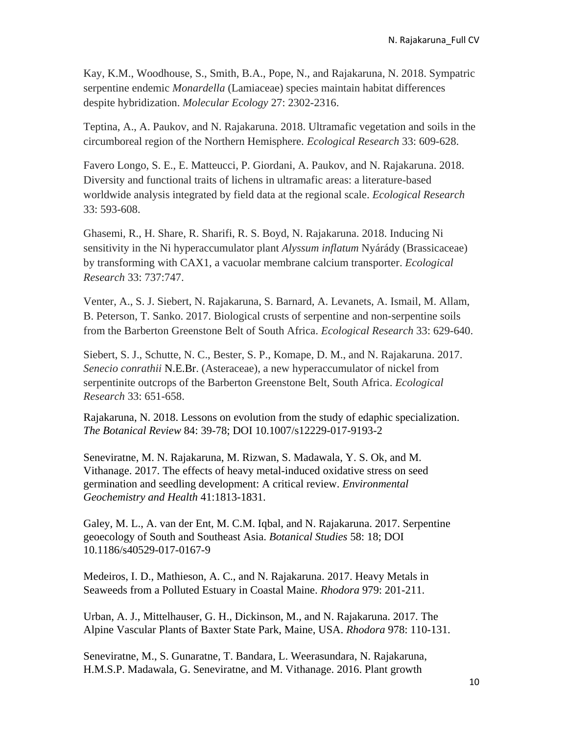Kay, K.M., Woodhouse, S., Smith, B.A., Pope, N., and Rajakaruna, N. 2018. Sympatric serpentine endemic *Monardella* (Lamiaceae) species maintain habitat differences despite hybridization. *Molecular Ecology* 27: 2302-2316.

Teptina, A., A. Paukov, and N. Rajakaruna. 2018. Ultramafic vegetation and soils in the circumboreal region of the Northern Hemisphere. *Ecological Research* 33: 609-628.

Favero Longo, S. E., E. Matteucci, P. Giordani, A. Paukov, and N. Rajakaruna. 2018. Diversity and functional traits of lichens in ultramafic areas: a literature-based worldwide analysis integrated by field data at the regional scale. *Ecological Research* 33: 593-608.

Ghasemi, R., H. Share, R. Sharifi, R. S. Boyd, N. Rajakaruna. 2018. Inducing Ni sensitivity in the Ni hyperaccumulator plant *Alyssum inflatum* Nyárády (Brassicaceae) by transforming with CAX1, a vacuolar membrane calcium transporter. *Ecological Research* 33: 737:747.

Venter, A., S. J. Siebert, N. Rajakaruna, S. Barnard, A. Levanets, A. Ismail, M. Allam, B. Peterson, T. Sanko. 2017. Biological crusts of serpentine and non-serpentine soils from the Barberton Greenstone Belt of South Africa. *Ecological Research* 33: 629-640.

Siebert, S. J., Schutte, N. C., Bester, S. P., Komape, D. M., and N. Rajakaruna. 2017. *Senecio conrathii* N.E.Br. (Asteraceae), a new hyperaccumulator of nickel from serpentinite outcrops of the Barberton Greenstone Belt, South Africa. *Ecological Research* 33: 651-658.

Rajakaruna, N. 2018. Lessons on evolution from the study of edaphic specialization. *The Botanical Review* 84: 39-78; DOI 10.1007/s12229-017-9193-2

Seneviratne, M. N. Rajakaruna, M. Rizwan, S. Madawala, Y. S. Ok, and M. Vithanage. 2017. The effects of heavy metal-induced oxidative stress on seed germination and seedling development: A critical review. *Environmental Geochemistry and Health* 41:1813-1831.

Galey, M. L., A. van der Ent, M. C.M. Iqbal, and N. Rajakaruna. 2017. Serpentine geoecology of South and Southeast Asia. *Botanical Studies* 58: 18; DOI 10.1186/s40529-017-0167-9

Medeiros, I. D., Mathieson, A. C., and N. Rajakaruna. 2017. Heavy Metals in Seaweeds from a Polluted Estuary in Coastal Maine. *Rhodora* 979: 201-211.

Urban, A. J., Mittelhauser, G. H., Dickinson, M., and N. Rajakaruna. 2017. The Alpine Vascular Plants of Baxter State Park, Maine, USA. *Rhodora* 978: 110-131.

Seneviratne, M., S. Gunaratne, T. Bandara, L. Weerasundara, N. Rajakaruna, H.M.S.P. Madawala, G. Seneviratne, and M. Vithanage. 2016. Plant growth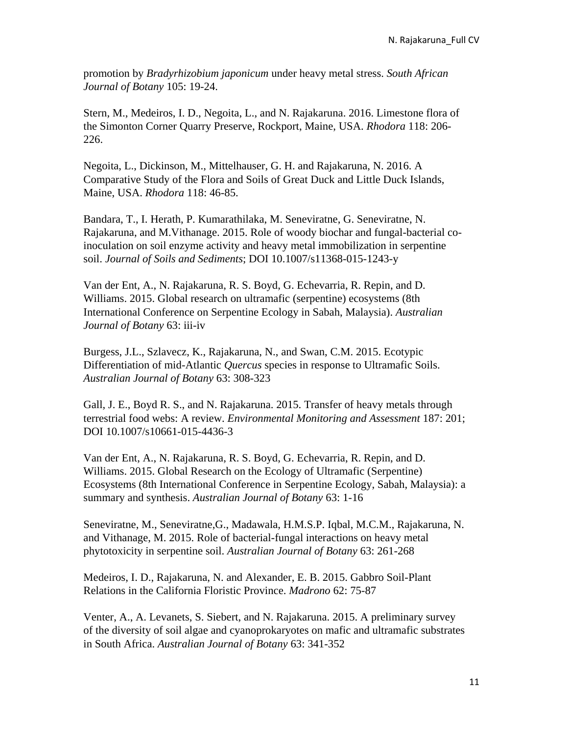promotion by *Bradyrhizobium japonicum* under heavy metal stress. *South African Journal of Botany* 105: 19-24.

Stern, M., Medeiros, I. D., Negoita, L., and N. Rajakaruna. 2016. Limestone flora of the Simonton Corner Quarry Preserve, Rockport, Maine, USA. *Rhodora* 118: 206- 226.

Negoita, L., Dickinson, M., Mittelhauser, G. H. and Rajakaruna, N. 2016. A Comparative Study of the Flora and Soils of Great Duck and Little Duck Islands, Maine, USA. *Rhodora* 118: 46-85.

Bandara, T., I. Herath, P. Kumarathilaka, M. Seneviratne, G. Seneviratne, N. Rajakaruna, and M.Vithanage. 2015. Role of woody biochar and fungal-bacterial coinoculation on soil enzyme activity and heavy metal immobilization in serpentine soil. *Journal of Soils and Sediments*; DOI 10.1007/s11368-015-1243-y

Van der Ent, A., N. Rajakaruna, R. S. Boyd, G. Echevarria, R. Repin, and D. Williams. 2015. Global research on ultramafic (serpentine) ecosystems (8th International Conference on Serpentine Ecology in Sabah, Malaysia). *Australian Journal of Botany* 63: iii-iv

Burgess, J.L., Szlavecz, K., Rajakaruna, N., and Swan, C.M. 2015. Ecotypic Differentiation of mid-Atlantic *Quercus* species in response to Ultramafic Soils. *Australian Journal of Botany* 63: 308-323

Gall, J. E., Boyd R. S., and N. Rajakaruna. 2015. Transfer of heavy metals through terrestrial food webs: A review. *Environmental Monitoring and Assessment* 187: 201; DOI 10.1007/s10661-015-4436-3

Van der Ent, A., N. Rajakaruna, R. S. Boyd, G. Echevarria, R. Repin, and D. Williams. 2015. Global Research on the Ecology of Ultramafic (Serpentine) Ecosystems (8th International Conference in Serpentine Ecology, Sabah, Malaysia): a summary and synthesis. *Australian Journal of Botany* 63: 1-16

Seneviratne, M., Seneviratne,G., Madawala, H.M.S.P. Iqbal, M.C.M., Rajakaruna, N. and Vithanage, M. 2015. Role of bacterial-fungal interactions on heavy metal phytotoxicity in serpentine soil. *Australian Journal of Botany* 63: 261-268

Medeiros, I. D., Rajakaruna, N. and Alexander, E. B. 2015. Gabbro Soil-Plant Relations in the California Floristic Province. *Madrono* 62: 75-87

Venter, A., A. Levanets, S. Siebert, and N. Rajakaruna. 2015. A preliminary survey of the diversity of soil algae and cyanoprokaryotes on mafic and ultramafic substrates in South Africa. *Australian Journal of Botany* 63: 341-352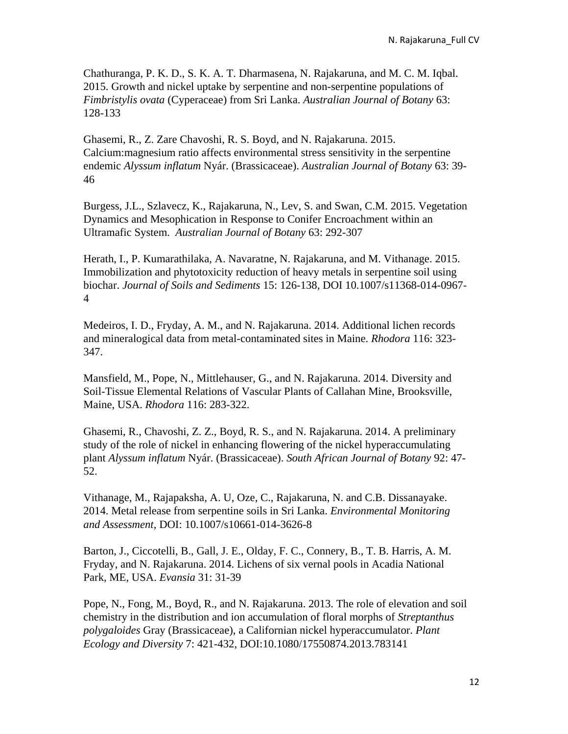Chathuranga, P. K. D., S. K. A. T. Dharmasena, N. Rajakaruna, and M. C. M. Iqbal. 2015. Growth and nickel uptake by serpentine and non-serpentine populations of *Fimbristylis ovata* (Cyperaceae) from Sri Lanka. *Australian Journal of Botany* 63: 128-133

Ghasemi, R., Z. Zare Chavoshi, R. S. Boyd, and N. Rajakaruna. 2015. Calcium:magnesium ratio affects environmental stress sensitivity in the serpentine endemic *Alyssum inflatum* Nyár. (Brassicaceae). *Australian Journal of Botany* 63: 39- 46

Burgess, J.L., Szlavecz, K., Rajakaruna, N., Lev, S. and Swan, C.M. 2015. Vegetation Dynamics and Mesophication in Response to Conifer Encroachment within an Ultramafic System. *Australian Journal of Botany* 63: 292-307

Herath, I., P. Kumarathilaka, A. Navaratne, N. Rajakaruna, and M. Vithanage. 2015. Immobilization and phytotoxicity reduction of heavy metals in serpentine soil using biochar. *Journal of Soils and Sediments* 15: 126-138*,* DOI 10.1007/s11368-014-0967- 4

Medeiros, I. D., Fryday, A. M., and N. Rajakaruna. 2014. Additional lichen records and mineralogical data from metal-contaminated sites in Maine. *Rhodora* 116: 323- 347.

Mansfield, M., Pope, N., Mittlehauser, G., and N. Rajakaruna. 2014. Diversity and Soil-Tissue Elemental Relations of Vascular Plants of Callahan Mine, Brooksville, Maine, USA. *Rhodora* 116: 283-322.

Ghasemi, R., Chavoshi, Z. Z., Boyd, R. S., and N. Rajakaruna. 2014. A preliminary study of the role of nickel in enhancing flowering of the nickel hyperaccumulating plant *Alyssum inflatum* Nyár. (Brassicaceae). *South African Journal of Botany* 92: 47- 52.

Vithanage, M., Rajapaksha, A. U, Oze, C., Rajakaruna, N. and C.B. Dissanayake. 2014. Metal release from serpentine soils in Sri Lanka. *Environmental Monitoring and Assessment*, DOI: 10.1007/s10661-014-3626-8

Barton, J., Ciccotelli, B., Gall, J. E., Olday, F. C., Connery, B., T. B. Harris, A. M. Fryday, and N. Rajakaruna. 2014. Lichens of six vernal pools in Acadia National Park, ME, USA. *Evansia* 31: 31-39

Pope, N., Fong, M., Boyd, R., and N. Rajakaruna. 2013. The role of elevation and soil chemistry in the distribution and ion accumulation of floral morphs of *Streptanthus polygaloides* Gray (Brassicaceae), a Californian nickel hyperaccumulator. *Plant Ecology and Diversity* 7: 421-432, DOI:10.1080/17550874.2013.783141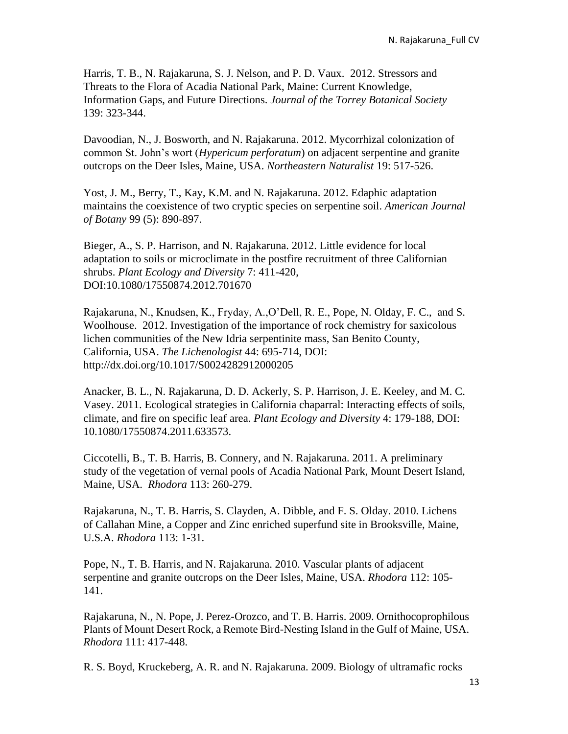Harris, T. B., N. Rajakaruna, S. J. Nelson, and P. D. Vaux. 2012. Stressors and Threats to the Flora of Acadia National Park, Maine: Current Knowledge, Information Gaps, and Future Directions. *Journal of the Torrey Botanical Society* 139: 323-344.

Davoodian, N., J. Bosworth, and N. Rajakaruna. 2012. Mycorrhizal colonization of common St. John's wort (*Hypericum perforatum*) on adjacent serpentine and granite outcrops on the Deer Isles, Maine, USA. *Northeastern Naturalist* 19: 517-526.

Yost, J. M., Berry, T., Kay, K.M. and N. Rajakaruna. 2012. Edaphic adaptation maintains the coexistence of two cryptic species on serpentine soil. *American Journal of Botany* 99 (5): 890-897.

Bieger, A., S. P. Harrison, and N. Rajakaruna. 2012. Little evidence for local adaptation to soils or microclimate in the postfire recruitment of three Californian shrubs. *Plant Ecology and Diversity* 7: 411-420, DOI:10.1080/17550874.2012.701670

Rajakaruna, N., Knudsen, K., Fryday, A.,O'Dell, R. E., Pope, N. Olday, F. C., and S. Woolhouse. 2012. Investigation of the importance of rock chemistry for saxicolous lichen communities of the New Idria serpentinite mass, San Benito County, California, USA. *The Lichenologist* 44: 695-714, DOI: http://dx.doi.org/10.1017/S0024282912000205

Anacker, B. L., N. Rajakaruna, D. D. Ackerly, S. P. Harrison, J. E. Keeley, and M. C. Vasey. 2011. Ecological strategies in California chaparral: Interacting effects of soils, climate, and fire on specific leaf area. *Plant Ecology and Diversity* 4: 179-188, DOI: 10.1080/17550874.2011.633573.

Ciccotelli, B., T. B. Harris, B. Connery, and N. Rajakaruna. 2011. A preliminary study of the vegetation of vernal pools of Acadia National Park, Mount Desert Island, Maine, USA. *Rhodora* 113: 260-279.

Rajakaruna, N., T. B. Harris, S. Clayden, A. Dibble, and F. S. Olday. 2010. Lichens of Callahan Mine, a Copper and Zinc enriched superfund site in Brooksville, Maine, U.S.A. *Rhodora* 113: 1-31.

Pope, N., T. B. Harris, and N. Rajakaruna. 2010. Vascular plants of adjacent serpentine and granite outcrops on the Deer Isles, Maine, USA. *Rhodora* 112: 105- 141.

Rajakaruna, N., N. Pope, J. Perez-Orozco, and T. B. Harris. 2009. Ornithocoprophilous Plants of Mount Desert Rock, a Remote Bird-Nesting Island in the Gulf of Maine, USA. *Rhodora* 111: 417-448.

R. S. Boyd, Kruckeberg, A. R. and N. Rajakaruna. 2009. Biology of ultramafic rocks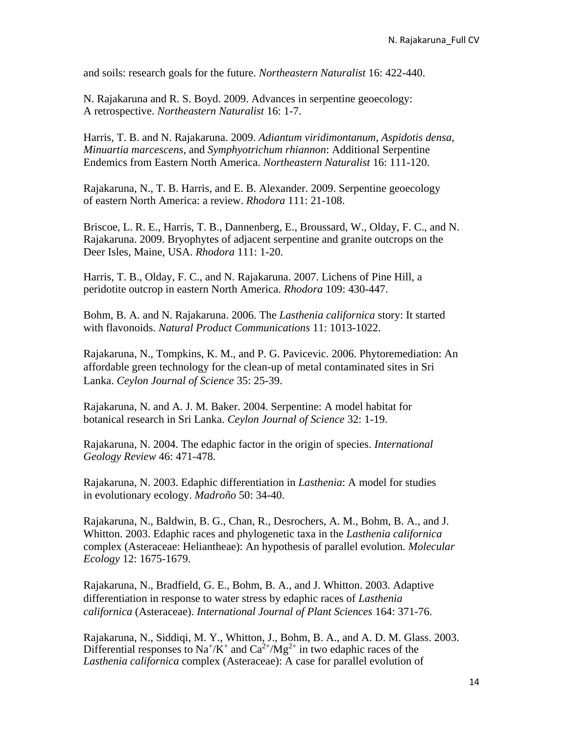and soils: research goals for the future. *Northeastern Naturalist* 16: 422-440.

N. Rajakaruna and R. S. Boyd. 2009. Advances in serpentine geoecology: A retrospective. *Northeastern Naturalist* 16: 1-7.

Harris, T. B. and N. Rajakaruna. 2009. *Adiantum viridimontanum*, *Aspidotis densa*, *Minuartia marcescens*, and *Symphyotrichum rhiannon*: Additional Serpentine Endemics from Eastern North America. *Northeastern Naturalist* 16: 111-120.

Rajakaruna, N., T. B. Harris, and E. B. Alexander. 2009. Serpentine geoecology of eastern North America: a review. *Rhodora* 111: 21-108.

Briscoe, L. R. E., Harris, T. B., Dannenberg, E., Broussard, W., Olday, F. C., and N. Rajakaruna. 2009. Bryophytes of adjacent serpentine and granite outcrops on the Deer Isles, Maine, USA. *Rhodora* 111: 1-20.

Harris, T. B., Olday, F. C., and N. Rajakaruna. 2007. Lichens of Pine Hill, a peridotite outcrop in eastern North America. *Rhodora* 109: 430-447.

Bohm, B. A. and N. Rajakaruna. 2006. The *Lasthenia californica* story: It started with flavonoids. *Natural Product Communications* 11: 1013-1022.

Rajakaruna, N., Tompkins, K. M., and P. G. Pavicevic. 2006. Phytoremediation: An affordable green technology for the clean-up of metal contaminated sites in Sri Lanka. *Ceylon Journal of Science* 35: 25-39.

Rajakaruna, N. and A. J. M. Baker. 2004. Serpentine: A model habitat for botanical research in Sri Lanka. *Ceylon Journal of Science* 32: 1-19.

Rajakaruna, N. 2004. The edaphic factor in the origin of species. *International Geology Review* 46: 471-478.

Rajakaruna, N. 2003. Edaphic differentiation in *Lasthenia*: A model for studies in evolutionary ecology. *Madroño* 50: 34-40.

Rajakaruna, N., Baldwin, B. G., Chan, R., Desrochers, A. M., Bohm, B. A., and J. Whitton. 2003. Edaphic races and phylogenetic taxa in the *Lasthenia californica* complex (Asteraceae: Heliantheae): An hypothesis of parallel evolution. *Molecular Ecology* 12: 1675-1679.

Rajakaruna, N., Bradfield, G. E., Bohm, B. A., and J. Whitton. 2003. Adaptive differentiation in response to water stress by edaphic races of *Lasthenia californica* (Asteraceae). *International Journal of Plant Sciences* 164: 371-76.

Rajakaruna, N., Siddiqi, M. Y., Whitton, J., Bohm, B. A., and A. D. M. Glass. 2003. Differential responses to Na<sup>+</sup>/K<sup>+</sup> and Ca<sup>2+</sup>/Mg<sup>2+</sup> in two edaphic races of the *Lasthenia californica* complex (Asteraceae): A case for parallel evolution of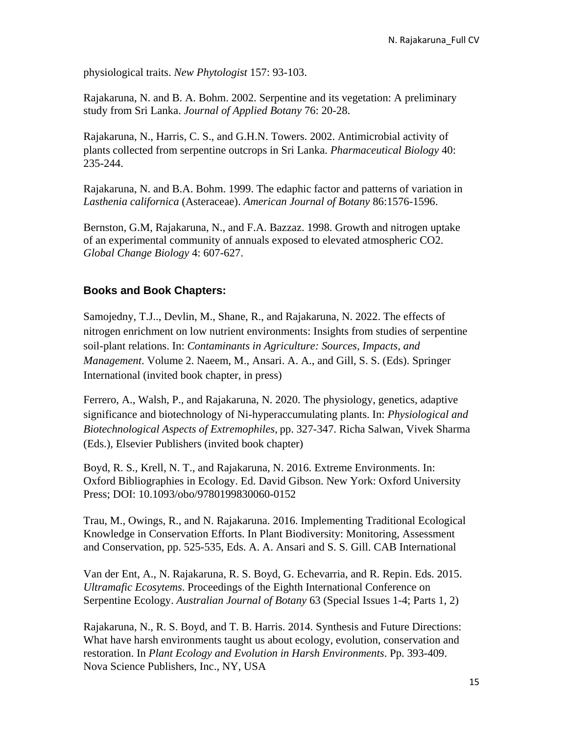physiological traits. *New Phytologist* 157: 93-103.

Rajakaruna, N. and B. A. Bohm. 2002. Serpentine and its vegetation: A preliminary study from Sri Lanka. *Journal of Applied Botany* 76: 20-28.

Rajakaruna, N., Harris, C. S., and G.H.N. Towers. 2002. Antimicrobial activity of plants collected from serpentine outcrops in Sri Lanka. *Pharmaceutical Biology* 40: 235-244.

Rajakaruna, N. and B.A. Bohm. 1999. The edaphic factor and patterns of variation in *Lasthenia californica* (Asteraceae). *American Journal of Botany* 86:1576-1596.

Bernston, G.M, Rajakaruna, N., and F.A. Bazzaz. 1998. Growth and nitrogen uptake of an experimental community of annuals exposed to elevated atmospheric CO2. *Global Change Biology* 4: 607-627.

# **Books and Book Chapters:**

Samojedny, T.J.., Devlin, M., Shane, R., and Rajakaruna, N. 2022. The effects of nitrogen enrichment on low nutrient environments: Insights from studies of serpentine soil-plant relations. In: *Contaminants in Agriculture: Sources, Impacts, and Management*. Volume 2. Naeem, M., Ansari. A. A., and Gill, S. S. (Eds). Springer International (invited book chapter, in press)

Ferrero, A., Walsh, P., and Rajakaruna, N. 2020. The physiology, genetics, adaptive significance and biotechnology of Ni-hyperaccumulating plants. In: *Physiological and Biotechnological Aspects of Extremophiles*, pp. 327-347. Richa Salwan, Vivek Sharma (Eds.), Elsevier Publishers (invited book chapter)

Boyd, R. S., Krell, N. T., and Rajakaruna, N. 2016. Extreme Environments. In: Oxford Bibliographies in Ecology. Ed. David Gibson. New York: Oxford University Press; DOI: 10.1093/obo/9780199830060-0152

Trau, M., Owings, R., and N. Rajakaruna. 2016. Implementing Traditional Ecological Knowledge in Conservation Efforts. In Plant Biodiversity: Monitoring, Assessment and Conservation, pp. 525-535, Eds. A. A. Ansari and S. S. Gill. CAB International

Van der Ent, A., N. Rajakaruna, R. S. Boyd, G. Echevarria, and R. Repin. Eds. 2015. *Ultramafic Ecosytems*. Proceedings of the Eighth International Conference on Serpentine Ecology. *Australian Journal of Botany* 63 (Special Issues 1-4; Parts 1, 2)

Rajakaruna, N., R. S. Boyd, and T. B. Harris. 2014. Synthesis and Future Directions: What have harsh environments taught us about ecology, evolution, conservation and restoration. In *Plant Ecology and Evolution in Harsh Environments*. Pp. 393-409. Nova Science Publishers, Inc., NY, USA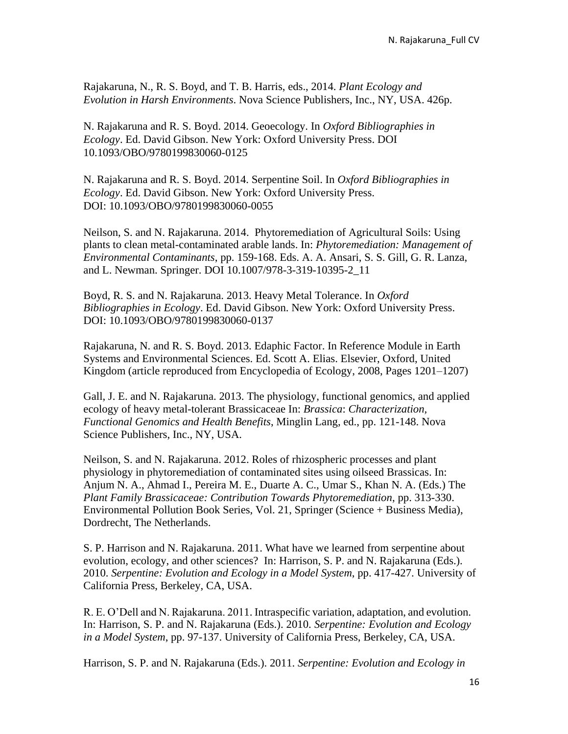Rajakaruna, N., R. S. Boyd, and T. B. Harris, eds., 2014. *Plant Ecology and Evolution in Harsh Environments*. Nova Science Publishers, Inc., NY, USA. 426p.

N. Rajakaruna and R. S. Boyd. 2014. Geoecology. In *Oxford Bibliographies in Ecology*. Ed. David Gibson. New York: Oxford University Press. DOI 10.1093/OBO/9780199830060-0125

N. Rajakaruna and R. S. Boyd. 2014. Serpentine Soil. In *Oxford Bibliographies in Ecology*. Ed. David Gibson. New York: Oxford University Press. DOI: 10.1093/OBO/9780199830060-0055

Neilson, S. and N. Rajakaruna. 2014. Phytoremediation of Agricultural Soils: Using plants to clean metal-contaminated arable lands. In: *Phytoremediation: Management of Environmental Contaminants*, pp. 159-168. Eds. A. A. Ansari, S. S. Gill, G. R. Lanza, and L. Newman. Springer. DOI 10.1007/978-3-319-10395-2\_11

Boyd, R. S. and N. Rajakaruna. 2013. Heavy Metal Tolerance. In *Oxford Bibliographies in Ecology*. Ed. David Gibson. New York: Oxford University Press. DOI: 10.1093/OBO/9780199830060-0137

Rajakaruna, N. and R. S. Boyd. 2013. Edaphic Factor. In Reference Module in Earth Systems and Environmental Sciences. Ed. Scott A. Elias. Elsevier, Oxford, United Kingdom (article reproduced from Encyclopedia of Ecology, 2008, Pages 1201–1207)

Gall, J. E. and N. Rajakaruna. 2013. The physiology, functional genomics, and applied ecology of heavy metal-tolerant Brassicaceae In: *Brassica*: *Characterization, Functional Genomics and Health Benefits*, Minglin Lang, ed., pp. 121-148. Nova Science Publishers, Inc., NY, USA.

Neilson, S. and N. Rajakaruna. 2012. Roles of rhizospheric processes and plant physiology in phytoremediation of contaminated sites using oilseed Brassicas. In: Anjum N. A., Ahmad I., Pereira M. E., Duarte A. C., Umar S., Khan N. A. (Eds.) The *Plant Family Brassicaceae: Contribution Towards Phytoremediation*, pp. 313-330. Environmental Pollution Book Series, Vol. 21, Springer (Science + Business Media), Dordrecht, The Netherlands.

S. P. Harrison and N. Rajakaruna. 2011. What have we learned from serpentine about evolution, ecology, and other sciences? In: Harrison, S. P. and N. Rajakaruna (Eds.). 2010. *Serpentine: Evolution and Ecology in a Model System*, pp. 417-427. University of California Press, Berkeley, CA, USA.

R. E. O'Dell and N. Rajakaruna. 2011. Intraspecific variation, adaptation, and evolution. In: Harrison, S. P. and N. Rajakaruna (Eds.). 2010. *Serpentine: Evolution and Ecology in a Model System*, pp. 97-137. University of California Press, Berkeley, CA, USA.

Harrison, S. P. and N. Rajakaruna (Eds.). 2011. *Serpentine: Evolution and Ecology in*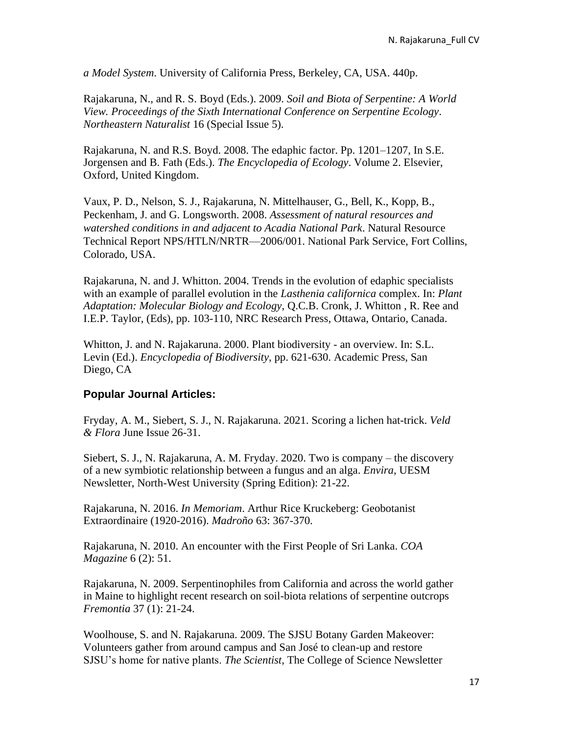*a Model System*. University of California Press, Berkeley, CA, USA. 440p.

Rajakaruna, N., and R. S. Boyd (Eds.). 2009. *Soil and Biota of Serpentine: A World View. Proceedings of the Sixth International Conference on Serpentine Ecology*. *Northeastern Naturalist* 16 (Special Issue 5).

Rajakaruna, N. and R.S. Boyd. 2008. The edaphic factor. Pp. 1201–1207, In S.E. Jorgensen and B. Fath (Eds.). *The Encyclopedia of Ecology*. Volume 2. Elsevier, Oxford, United Kingdom.

Vaux, P. D., Nelson, S. J., Rajakaruna, N. Mittelhauser, G., Bell, K., Kopp, B., Peckenham, J. and G. Longsworth. 2008. *Assessment of natural resources and watershed conditions in and adjacent to Acadia National Park*. Natural Resource Technical Report NPS/HTLN/NRTR—2006/001. National Park Service, Fort Collins, Colorado, USA.

Rajakaruna, N. and J. Whitton. 2004. Trends in the evolution of edaphic specialists with an example of parallel evolution in the *Lasthenia californica* complex. In: *Plant Adaptation: Molecular Biology and Ecology*, Q.C.B. Cronk, J. Whitton , R. Ree and I.E.P. Taylor, (Eds), pp. 103-110, NRC Research Press, Ottawa, Ontario, Canada.

Whitton, J. and N. Rajakaruna. 2000. Plant biodiversity - an overview. In: S.L. Levin (Ed.). *Encyclopedia of Biodiversity*, pp. 621-630. Academic Press, San Diego, CA

### **Popular Journal Articles:**

Fryday, A. M., Siebert, S. J., N. Rajakaruna. 2021. Scoring a lichen hat-trick. *Veld & Flora* June Issue 26-31.

Siebert, S. J., N. Rajakaruna, A. M. Fryday. 2020. Two is company – the discovery of a new symbiotic relationship between a fungus and an alga. *Envira*, UESM Newsletter, North-West University (Spring Edition): 21-22.

Rajakaruna, N. 2016. *In Memoriam*. Arthur Rice Kruckeberg: Geobotanist Extraordinaire (1920-2016). *Madroño* 63: 367-370.

Rajakaruna, N. 2010. An encounter with the First People of Sri Lanka. *COA Magazine* 6 (2): 51.

Rajakaruna, N. 2009. Serpentinophiles from California and across the world gather in Maine to highlight recent research on soil-biota relations of serpentine outcrops *Fremontia* 37 (1): 21-24.

Woolhouse, S. and N. Rajakaruna. 2009. The SJSU Botany Garden Makeover: Volunteers gather from around campus and San José to clean-up and restore SJSU's home for native plants. *The Scientist*, The College of Science Newsletter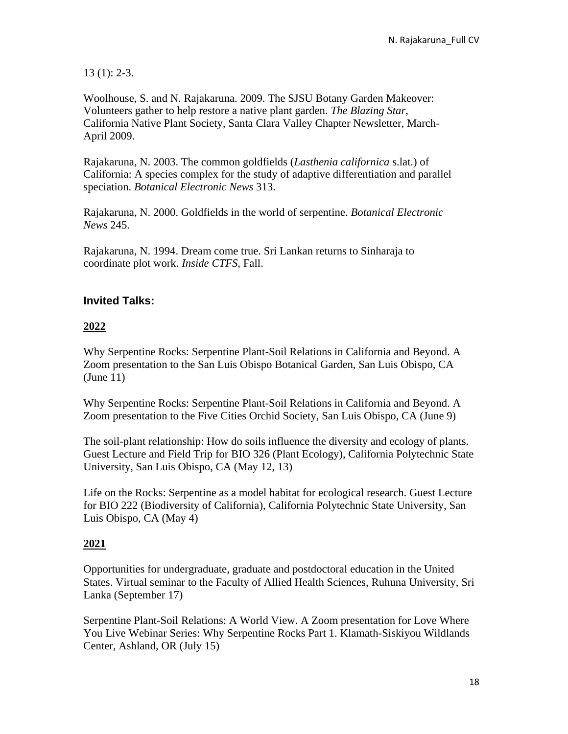13 (1): 2-3.

Woolhouse, S. and N. Rajakaruna. 2009. The SJSU Botany Garden Makeover: Volunteers gather to help restore a native plant garden. *The Blazing Star*, California Native Plant Society, Santa Clara Valley Chapter Newsletter, March-April 2009.

Rajakaruna, N. 2003. The common goldfields (*Lasthenia californica* s.lat.) of California: A species complex for the study of adaptive differentiation and parallel speciation. *Botanical Electronic News* 313.

Rajakaruna, N. 2000. Goldfields in the world of serpentine. *Botanical Electronic News* 245.

Rajakaruna, N. 1994. Dream come true. Sri Lankan returns to Sinharaja to coordinate plot work. *Inside CTFS*, Fall.

# **Invited Talks:**

### **2022**

Why Serpentine Rocks: Serpentine Plant-Soil Relations in California and Beyond. A Zoom presentation to the San Luis Obispo Botanical Garden, San Luis Obispo, CA (June 11)

Why Serpentine Rocks: Serpentine Plant-Soil Relations in California and Beyond. A Zoom presentation to the Five Cities Orchid Society, San Luis Obispo, CA (June 9)

The soil-plant relationship: How do soils influence the diversity and ecology of plants. Guest Lecture and Field Trip for BIO 326 (Plant Ecology), California Polytechnic State University, San Luis Obispo, CA (May 12, 13)

Life on the Rocks: Serpentine as a model habitat for ecological research. Guest Lecture for BIO 222 (Biodiversity of California), California Polytechnic State University, San Luis Obispo, CA (May 4)

### **2021**

Opportunities for undergraduate, graduate and postdoctoral education in the United States. Virtual seminar to the Faculty of Allied Health Sciences, Ruhuna University, Sri Lanka (September 17)

Serpentine Plant-Soil Relations: A World View. A Zoom presentation for Love Where You Live Webinar Series: Why Serpentine Rocks Part 1. Klamath-Siskiyou Wildlands Center, Ashland, OR (July 15)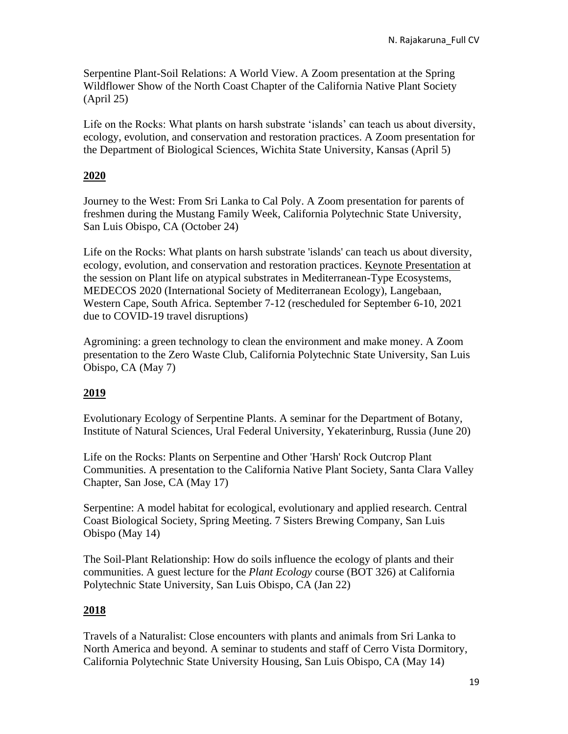Serpentine Plant-Soil Relations: A World View. A Zoom presentation at the Spring Wildflower Show of the North Coast Chapter of the California Native Plant Society (April 25)

Life on the Rocks: What plants on harsh substrate 'islands' can teach us about diversity, ecology, evolution, and conservation and restoration practices. A Zoom presentation for the Department of Biological Sciences, Wichita State University, Kansas (April 5)

### **2020**

Journey to the West: From Sri Lanka to Cal Poly. A Zoom presentation for parents of freshmen during the Mustang Family Week, California Polytechnic State University, San Luis Obispo, CA (October 24)

Life on the Rocks: What plants on harsh substrate 'islands' can teach us about diversity, ecology, evolution, and conservation and restoration practices. Keynote Presentation at the session on Plant life on atypical substrates in Mediterranean-Type Ecosystems, MEDECOS 2020 (International Society of Mediterranean Ecology), Langebaan, Western Cape, South Africa. September 7-12 (rescheduled for September 6-10, 2021 due to COVID-19 travel disruptions)

Agromining: a green technology to clean the environment and make money. A Zoom presentation to the Zero Waste Club, California Polytechnic State University, San Luis Obispo, CA (May 7)

### **2019**

Evolutionary Ecology of Serpentine Plants. A seminar for the Department of Botany, Institute of Natural Sciences, Ural Federal University, Yekaterinburg, Russia (June 20)

Life on the Rocks: Plants on Serpentine and Other 'Harsh' Rock Outcrop Plant Communities. A presentation to the California Native Plant Society, Santa Clara Valley Chapter, San Jose, CA (May 17)

Serpentine: A model habitat for ecological, evolutionary and applied research. Central Coast Biological Society, Spring Meeting. 7 Sisters Brewing Company, San Luis Obispo (May 14)

The Soil-Plant Relationship: How do soils influence the ecology of plants and their communities. A guest lecture for the *Plant Ecology* course (BOT 326) at California Polytechnic State University, San Luis Obispo, CA (Jan 22)

### **2018**

Travels of a Naturalist: Close encounters with plants and animals from Sri Lanka to North America and beyond. A seminar to students and staff of Cerro Vista Dormitory, California Polytechnic State University Housing, San Luis Obispo, CA (May 14)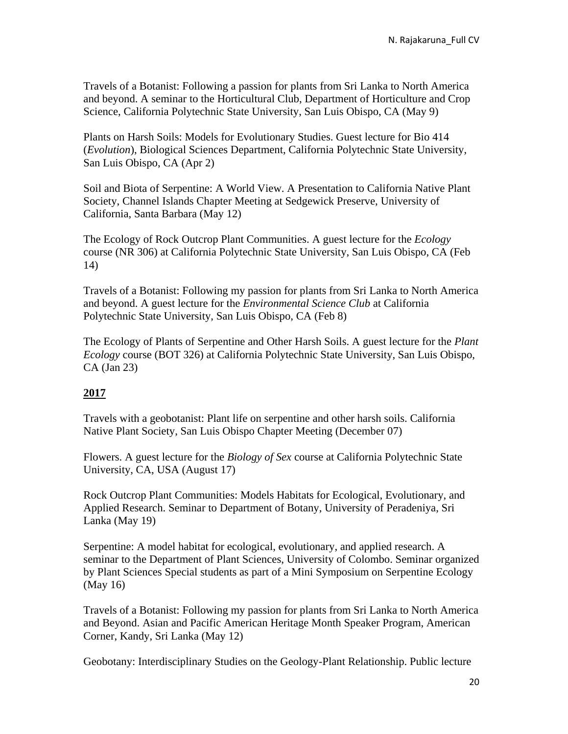Travels of a Botanist: Following a passion for plants from Sri Lanka to North America and beyond. A seminar to the Horticultural Club, Department of Horticulture and Crop Science, California Polytechnic State University, San Luis Obispo, CA (May 9)

Plants on Harsh Soils: Models for Evolutionary Studies. Guest lecture for Bio 414 (*Evolution*), Biological Sciences Department, California Polytechnic State University, San Luis Obispo, CA (Apr 2)

Soil and Biota of Serpentine: A World View. A Presentation to California Native Plant Society, Channel Islands Chapter Meeting at Sedgewick Preserve, University of California, Santa Barbara (May 12)

The Ecology of Rock Outcrop Plant Communities. A guest lecture for the *Ecology* course (NR 306) at California Polytechnic State University, San Luis Obispo, CA (Feb 14)

Travels of a Botanist: Following my passion for plants from Sri Lanka to North America and beyond. A guest lecture for the *Environmental Science Club* at California Polytechnic State University, San Luis Obispo, CA (Feb 8)

The Ecology of Plants of Serpentine and Other Harsh Soils. A guest lecture for the *Plant Ecology* course (BOT 326) at California Polytechnic State University, San Luis Obispo, CA (Jan 23)

### **2017**

Travels with a geobotanist: Plant life on serpentine and other harsh soils. California Native Plant Society, San Luis Obispo Chapter Meeting (December 07)

Flowers. A guest lecture for the *Biology of Sex* course at California Polytechnic State University, CA, USA (August 17)

Rock Outcrop Plant Communities: Models Habitats for Ecological, Evolutionary, and Applied Research. Seminar to Department of Botany, University of Peradeniya, Sri Lanka (May 19)

Serpentine: A model habitat for ecological, evolutionary, and applied research. A seminar to the Department of Plant Sciences, University of Colombo. Seminar organized by Plant Sciences Special students as part of a Mini Symposium on Serpentine Ecology (May 16)

Travels of a Botanist: Following my passion for plants from Sri Lanka to North America and Beyond. Asian and Pacific American Heritage Month Speaker Program, American Corner, Kandy, Sri Lanka (May 12)

Geobotany: Interdisciplinary Studies on the Geology-Plant Relationship. Public lecture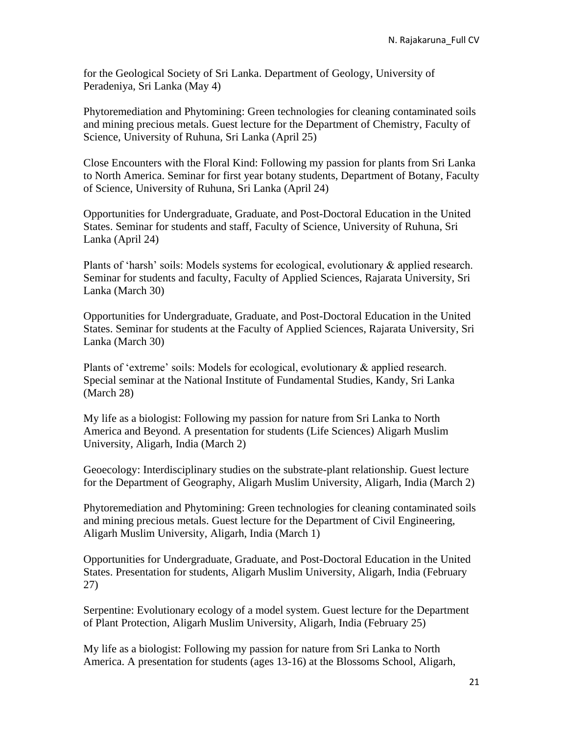for the Geological Society of Sri Lanka. Department of Geology, University of Peradeniya, Sri Lanka (May 4)

Phytoremediation and Phytomining: Green technologies for cleaning contaminated soils and mining precious metals. Guest lecture for the Department of Chemistry, Faculty of Science, University of Ruhuna, Sri Lanka (April 25)

Close Encounters with the Floral Kind: Following my passion for plants from Sri Lanka to North America. Seminar for first year botany students, Department of Botany, Faculty of Science, University of Ruhuna, Sri Lanka (April 24)

Opportunities for Undergraduate, Graduate, and Post-Doctoral Education in the United States. Seminar for students and staff, Faculty of Science, University of Ruhuna, Sri Lanka (April 24)

Plants of 'harsh' soils: Models systems for ecological, evolutionary & applied research. Seminar for students and faculty, Faculty of Applied Sciences, Rajarata University, Sri Lanka (March 30)

Opportunities for Undergraduate, Graduate, and Post-Doctoral Education in the United States. Seminar for students at the Faculty of Applied Sciences, Rajarata University, Sri Lanka (March 30)

Plants of 'extreme' soils: Models for ecological, evolutionary & applied research. Special seminar at the National Institute of Fundamental Studies, Kandy, Sri Lanka (March 28)

My life as a biologist: Following my passion for nature from Sri Lanka to North America and Beyond. A presentation for students (Life Sciences) Aligarh Muslim University, Aligarh, India (March 2)

Geoecology: Interdisciplinary studies on the substrate-plant relationship. Guest lecture for the Department of Geography, Aligarh Muslim University, Aligarh, India (March 2)

Phytoremediation and Phytomining: Green technologies for cleaning contaminated soils and mining precious metals. Guest lecture for the Department of Civil Engineering, Aligarh Muslim University, Aligarh, India (March 1)

Opportunities for Undergraduate, Graduate, and Post-Doctoral Education in the United States. Presentation for students, Aligarh Muslim University, Aligarh, India (February 27)

Serpentine: Evolutionary ecology of a model system. Guest lecture for the Department of Plant Protection, Aligarh Muslim University, Aligarh, India (February 25)

My life as a biologist: Following my passion for nature from Sri Lanka to North America. A presentation for students (ages 13-16) at the Blossoms School, Aligarh,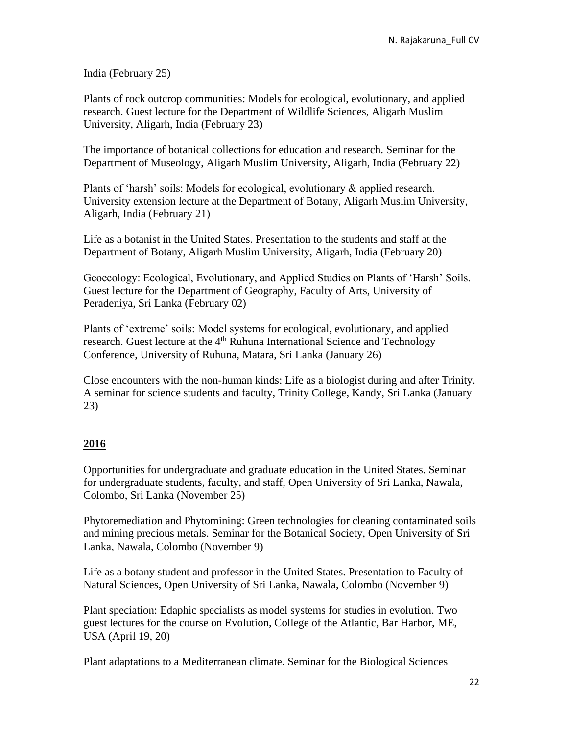India (February 25)

Plants of rock outcrop communities: Models for ecological, evolutionary, and applied research. Guest lecture for the Department of Wildlife Sciences, Aligarh Muslim University, Aligarh, India (February 23)

The importance of botanical collections for education and research. Seminar for the Department of Museology, Aligarh Muslim University, Aligarh, India (February 22)

Plants of 'harsh' soils: Models for ecological, evolutionary & applied research. University extension lecture at the Department of Botany, Aligarh Muslim University, Aligarh, India (February 21)

Life as a botanist in the United States. Presentation to the students and staff at the Department of Botany, Aligarh Muslim University, Aligarh, India (February 20)

Geoecology: Ecological, Evolutionary, and Applied Studies on Plants of 'Harsh' Soils. Guest lecture for the Department of Geography, Faculty of Arts, University of Peradeniya, Sri Lanka (February 02)

Plants of 'extreme' soils: Model systems for ecological, evolutionary, and applied research. Guest lecture at the 4<sup>th</sup> Ruhuna International Science and Technology Conference, University of Ruhuna, Matara, Sri Lanka (January 26)

Close encounters with the non-human kinds: Life as a biologist during and after Trinity. A seminar for science students and faculty, Trinity College, Kandy, Sri Lanka (January 23)

### **2016**

Opportunities for undergraduate and graduate education in the United States. Seminar for undergraduate students, faculty, and staff, Open University of Sri Lanka, Nawala, Colombo, Sri Lanka (November 25)

Phytoremediation and Phytomining: Green technologies for cleaning contaminated soils and mining precious metals. Seminar for the Botanical Society, Open University of Sri Lanka, Nawala, Colombo (November 9)

Life as a botany student and professor in the United States. Presentation to Faculty of Natural Sciences, Open University of Sri Lanka, Nawala, Colombo (November 9)

Plant speciation: Edaphic specialists as model systems for studies in evolution. Two guest lectures for the course on Evolution, College of the Atlantic, Bar Harbor, ME, USA (April 19, 20)

Plant adaptations to a Mediterranean climate. Seminar for the Biological Sciences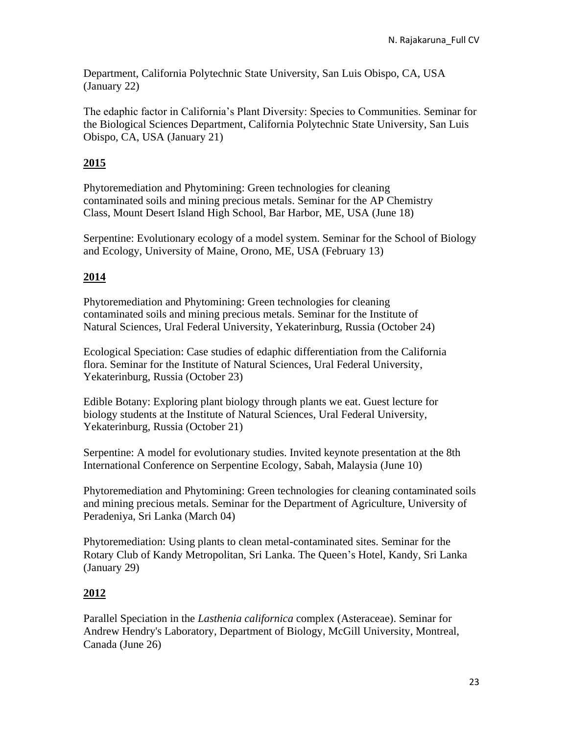Department, California Polytechnic State University, San Luis Obispo, CA, USA (January 22)

The edaphic factor in California's Plant Diversity: Species to Communities. Seminar for the Biological Sciences Department, California Polytechnic State University, San Luis Obispo, CA, USA (January 21)

### **2015**

Phytoremediation and Phytomining: Green technologies for cleaning contaminated soils and mining precious metals. Seminar for the AP Chemistry Class, Mount Desert Island High School, Bar Harbor, ME, USA (June 18)

Serpentine: Evolutionary ecology of a model system. Seminar for the School of Biology and Ecology, University of Maine, Orono, ME, USA (February 13)

# **2014**

Phytoremediation and Phytomining: Green technologies for cleaning contaminated soils and mining precious metals. Seminar for the Institute of Natural Sciences, Ural Federal University, Yekaterinburg, Russia (October 24)

Ecological Speciation: Case studies of edaphic differentiation from the California flora. Seminar for the Institute of Natural Sciences, Ural Federal University, Yekaterinburg, Russia (October 23)

Edible Botany: Exploring plant biology through plants we eat. Guest lecture for biology students at the Institute of Natural Sciences, Ural Federal University, Yekaterinburg, Russia (October 21)

Serpentine: A model for evolutionary studies. Invited keynote presentation at the 8th International Conference on Serpentine Ecology, Sabah, Malaysia (June 10)

Phytoremediation and Phytomining: Green technologies for cleaning contaminated soils and mining precious metals. Seminar for the Department of Agriculture, University of Peradeniya, Sri Lanka (March 04)

Phytoremediation: Using plants to clean metal-contaminated sites. Seminar for the Rotary Club of Kandy Metropolitan, Sri Lanka. The Queen's Hotel, Kandy, Sri Lanka (January 29)

### **2012**

Parallel Speciation in the *Lasthenia californica* complex (Asteraceae). Seminar for Andrew Hendry's Laboratory, Department of Biology, McGill University, Montreal, Canada (June 26)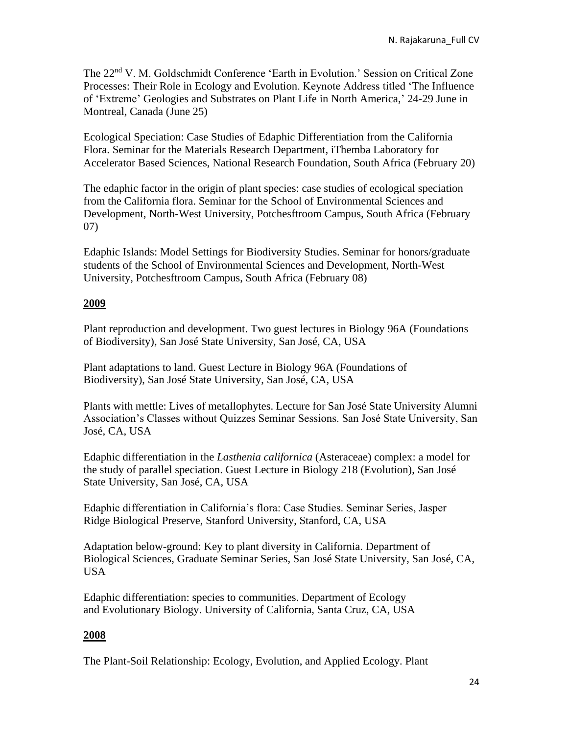The 22nd V. M. Goldschmidt Conference 'Earth in Evolution.' Session on Critical Zone Processes: Their Role in Ecology and Evolution. Keynote Address titled 'The Influence of 'Extreme' Geologies and Substrates on Plant Life in North America,' 24-29 June in Montreal, Canada (June 25)

Ecological Speciation: Case Studies of Edaphic Differentiation from the California Flora. Seminar for the Materials Research Department, iThemba Laboratory for Accelerator Based Sciences, National Research Foundation, South Africa (February 20)

The edaphic factor in the origin of plant species: case studies of ecological speciation from the California flora. Seminar for the School of Environmental Sciences and Development, North-West University, Potchesftroom Campus, South Africa (February 07)

Edaphic Islands: Model Settings for Biodiversity Studies. Seminar for honors/graduate students of the School of Environmental Sciences and Development, North-West University, Potchesftroom Campus, South Africa (February 08)

### **2009**

Plant reproduction and development. Two guest lectures in Biology 96A (Foundations of Biodiversity), San José State University, San José, CA, USA

Plant adaptations to land. Guest Lecture in Biology 96A (Foundations of Biodiversity), San José State University, San José, CA, USA

Plants with mettle: Lives of metallophytes. Lecture for San José State University Alumni Association's Classes without Quizzes Seminar Sessions. San José State University, San José, CA, USA

Edaphic differentiation in the *Lasthenia californica* (Asteraceae) complex: a model for the study of parallel speciation. Guest Lecture in Biology 218 (Evolution), San José State University, San José, CA, USA

Edaphic differentiation in California's flora: Case Studies. Seminar Series, Jasper Ridge Biological Preserve, Stanford University, Stanford, CA, USA

Adaptation below-ground: Key to plant diversity in California. Department of Biological Sciences, Graduate Seminar Series, San José State University, San José, CA, USA

Edaphic differentiation: species to communities. Department of Ecology and Evolutionary Biology. University of California, Santa Cruz, CA, USA

### **2008**

The Plant-Soil Relationship: Ecology, Evolution, and Applied Ecology. Plant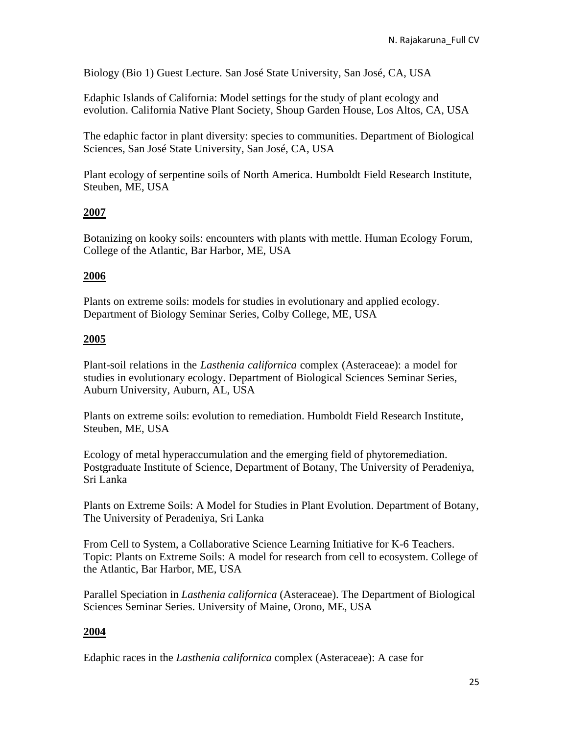Biology (Bio 1) Guest Lecture. San José State University, San José, CA, USA

Edaphic Islands of California: Model settings for the study of plant ecology and evolution. California Native Plant Society, Shoup Garden House, Los Altos, CA, USA

The edaphic factor in plant diversity: species to communities. Department of Biological Sciences, San José State University, San José, CA, USA

Plant ecology of serpentine soils of North America. Humboldt Field Research Institute, Steuben, ME, USA

### **2007**

Botanizing on kooky soils: encounters with plants with mettle. Human Ecology Forum, College of the Atlantic, Bar Harbor, ME, USA

#### **2006**

Plants on extreme soils: models for studies in evolutionary and applied ecology. Department of Biology Seminar Series, Colby College, ME, USA

#### **2005**

Plant-soil relations in the *Lasthenia californica* complex (Asteraceae): a model for studies in evolutionary ecology. Department of Biological Sciences Seminar Series, Auburn University, Auburn, AL, USA

Plants on extreme soils: evolution to remediation. Humboldt Field Research Institute, Steuben, ME, USA

Ecology of metal hyperaccumulation and the emerging field of phytoremediation. Postgraduate Institute of Science, Department of Botany, The University of Peradeniya, Sri Lanka

Plants on Extreme Soils: A Model for Studies in Plant Evolution. Department of Botany, The University of Peradeniya, Sri Lanka

From Cell to System, a Collaborative Science Learning Initiative for K-6 Teachers. Topic: Plants on Extreme Soils: A model for research from cell to ecosystem. College of the Atlantic, Bar Harbor, ME, USA

Parallel Speciation in *Lasthenia californica* (Asteraceae). The Department of Biological Sciences Seminar Series. University of Maine, Orono, ME, USA

### **2004**

Edaphic races in the *Lasthenia californica* complex (Asteraceae): A case for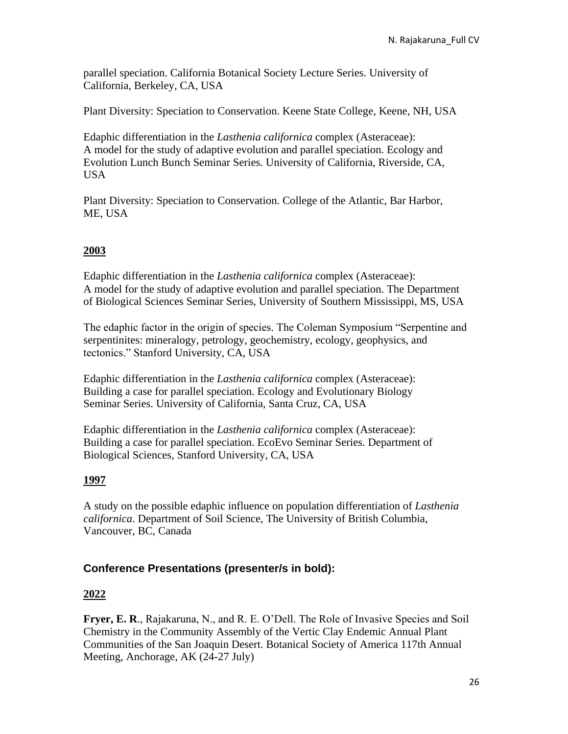parallel speciation. California Botanical Society Lecture Series. University of California, Berkeley, CA, USA

Plant Diversity: Speciation to Conservation. Keene State College, Keene, NH, USA

Edaphic differentiation in the *Lasthenia californica* complex (Asteraceae): A model for the study of adaptive evolution and parallel speciation. Ecology and Evolution Lunch Bunch Seminar Series. University of California, Riverside, CA, USA

Plant Diversity: Speciation to Conservation. College of the Atlantic, Bar Harbor, ME, USA

### **2003**

Edaphic differentiation in the *Lasthenia californica* complex (Asteraceae): A model for the study of adaptive evolution and parallel speciation. The Department of Biological Sciences Seminar Series, University of Southern Mississippi, MS, USA

The edaphic factor in the origin of species. The Coleman Symposium "Serpentine and serpentinites: mineralogy, petrology, geochemistry, ecology, geophysics, and tectonics." Stanford University, CA, USA

Edaphic differentiation in the *Lasthenia californica* complex (Asteraceae): Building a case for parallel speciation. Ecology and Evolutionary Biology Seminar Series. University of California, Santa Cruz, CA, USA

Edaphic differentiation in the *Lasthenia californica* complex (Asteraceae): Building a case for parallel speciation. EcoEvo Seminar Series. Department of Biological Sciences, Stanford University, CA, USA

#### **1997**

A study on the possible edaphic influence on population differentiation of *Lasthenia californica*. Department of Soil Science, The University of British Columbia, Vancouver, BC, Canada

### **Conference Presentations (presenter/s in bold):**

### **2022**

**Fryer, E. R**., Rajakaruna, N., and R. E. O'Dell. The Role of Invasive Species and Soil Chemistry in the Community Assembly of the Vertic Clay Endemic Annual Plant Communities of the San Joaquin Desert. Botanical Society of America 117th Annual Meeting, Anchorage, AK (24-27 July)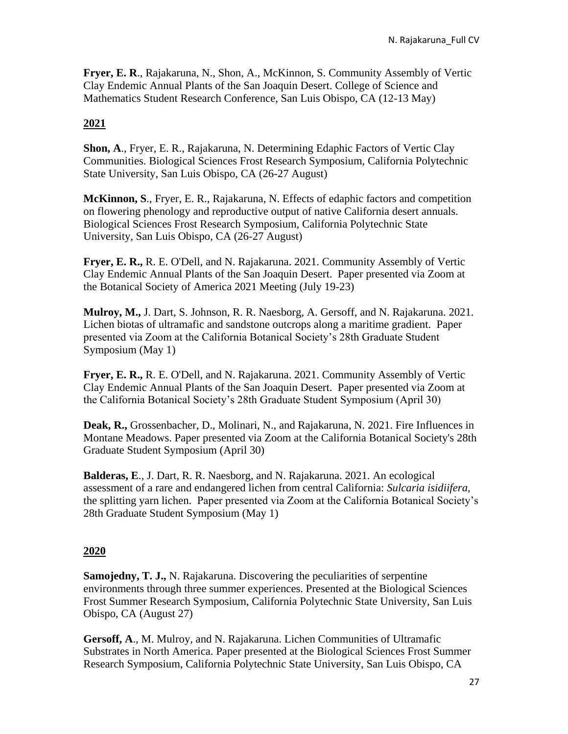**Fryer, E. R**., Rajakaruna, N., Shon, A., McKinnon, S. Community Assembly of Vertic Clay Endemic Annual Plants of the San Joaquin Desert. College of Science and Mathematics Student Research Conference, San Luis Obispo, CA (12-13 May)

# **2021**

**Shon, A**., Fryer, E. R., Rajakaruna, N. Determining Edaphic Factors of Vertic Clay Communities. Biological Sciences Frost Research Symposium, California Polytechnic State University, San Luis Obispo, CA (26-27 August)

**McKinnon, S**., Fryer, E. R., Rajakaruna, N. Effects of edaphic factors and competition on flowering phenology and reproductive output of native California desert annuals. Biological Sciences Frost Research Symposium, California Polytechnic State University, San Luis Obispo, CA (26-27 August)

**Fryer, E. R.,** R. E. O'Dell, and N. Rajakaruna. 2021. Community Assembly of Vertic Clay Endemic Annual Plants of the San Joaquin Desert. Paper presented via Zoom at the Botanical Society of America 2021 Meeting (July 19-23)

**Mulroy, M.,** J. Dart, S. Johnson, R. R. Naesborg, A. Gersoff, and N. Rajakaruna. 2021. Lichen biotas of ultramafic and sandstone outcrops along a maritime gradient. Paper presented via Zoom at the California Botanical Society's 28th Graduate Student Symposium (May 1)

**Fryer, E. R.,** R. E. O'Dell, and N. Rajakaruna. 2021. Community Assembly of Vertic Clay Endemic Annual Plants of the San Joaquin Desert. Paper presented via Zoom at the California Botanical Society's 28th Graduate Student Symposium (April 30)

**Deak, R.,** Grossenbacher, D., Molinari, N., and Rajakaruna, N. 2021. Fire Influences in Montane Meadows. Paper presented via Zoom at the California Botanical Society's 28th Graduate Student Symposium (April 30)

**Balderas, E**., J. Dart, R. R. Naesborg, and N. Rajakaruna. 2021. An ecological assessment of a rare and endangered lichen from central California: *Sulcaria isidiifera*, the splitting yarn lichen. Paper presented via Zoom at the California Botanical Society's 28th Graduate Student Symposium (May 1)

### **2020**

**Samojedny, T. J.,** N. Rajakaruna. Discovering the peculiarities of serpentine environments through three summer experiences. Presented at the Biological Sciences Frost Summer Research Symposium, California Polytechnic State University, San Luis Obispo, CA (August 27)

**Gersoff, A**., M. Mulroy, and N. Rajakaruna. Lichen Communities of Ultramafic Substrates in North America. Paper presented at the Biological Sciences Frost Summer Research Symposium, California Polytechnic State University, San Luis Obispo, CA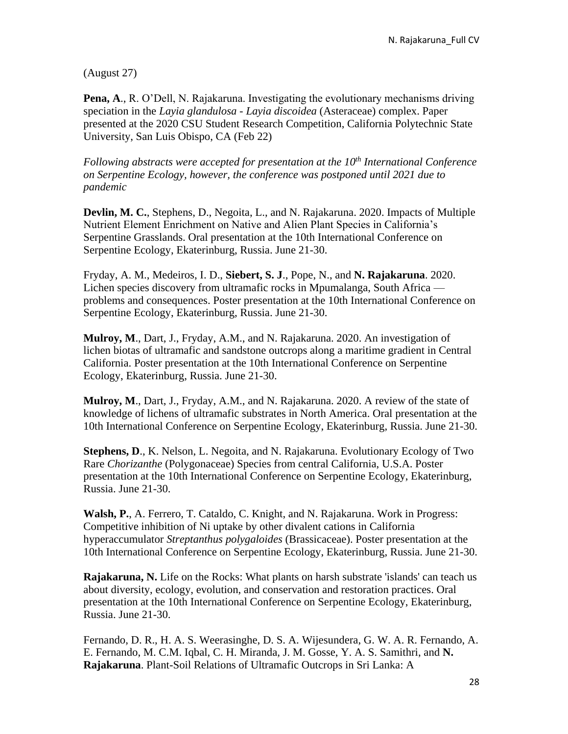(August 27)

**Pena, A**., R. O'Dell, N. Rajakaruna. Investigating the evolutionary mechanisms driving speciation in the *Layia glandulosa* - *Layia discoidea* (Asteraceae) complex. Paper presented at the 2020 CSU Student Research Competition, California Polytechnic State University, San Luis Obispo, CA (Feb 22)

*Following abstracts were accepted for presentation at the 10th International Conference on Serpentine Ecology, however, the conference was postponed until 2021 due to pandemic*

**Devlin, M. C.**, Stephens, D., Negoita, L., and N. Rajakaruna. 2020. Impacts of Multiple Nutrient Element Enrichment on Native and Alien Plant Species in California's Serpentine Grasslands. Oral presentation at the 10th International Conference on Serpentine Ecology, Ekaterinburg, Russia. June 21-30.

Fryday, A. M., Medeiros, I. D., **Siebert, S. J**., Pope, N., and **N. Rajakaruna**. 2020. Lichen species discovery from ultramafic rocks in Mpumalanga, South Africa problems and consequences. Poster presentation at the 10th International Conference on Serpentine Ecology, Ekaterinburg, Russia. June 21-30.

**Mulroy, M**., Dart, J., Fryday, A.M., and N. Rajakaruna. 2020. An investigation of lichen biotas of ultramafic and sandstone outcrops along a maritime gradient in Central California. Poster presentation at the 10th International Conference on Serpentine Ecology, Ekaterinburg, Russia. June 21-30.

**Mulroy, M**., Dart, J., Fryday, A.M., and N. Rajakaruna. 2020. A review of the state of knowledge of lichens of ultramafic substrates in North America. Oral presentation at the 10th International Conference on Serpentine Ecology, Ekaterinburg, Russia. June 21-30.

**Stephens, D**., K. Nelson, L. Negoita, and N. Rajakaruna. Evolutionary Ecology of Two Rare *Chorizanthe* (Polygonaceae) Species from central California, U.S.A. Poster presentation at the 10th International Conference on Serpentine Ecology, Ekaterinburg, Russia. June 21-30.

**Walsh, P.**, A. Ferrero, T. Cataldo, C. Knight, and N. Rajakaruna. Work in Progress: Competitive inhibition of Ni uptake by other divalent cations in California hyperaccumulator *Streptanthus polygaloides* (Brassicaceae). Poster presentation at the 10th International Conference on Serpentine Ecology, Ekaterinburg, Russia. June 21-30.

**Rajakaruna, N.** Life on the Rocks: What plants on harsh substrate 'islands' can teach us about diversity, ecology, evolution, and conservation and restoration practices. Oral presentation at the 10th International Conference on Serpentine Ecology, Ekaterinburg, Russia. June 21-30.

Fernando, D. R., H. A. S. Weerasinghe, D. S. A. Wijesundera, G. W. A. R. Fernando, A. E. Fernando, M. C.M. Iqbal, C. H. Miranda, J. M. Gosse, Y. A. S. Samithri, and **N. Rajakaruna**. Plant-Soil Relations of Ultramafic Outcrops in Sri Lanka: A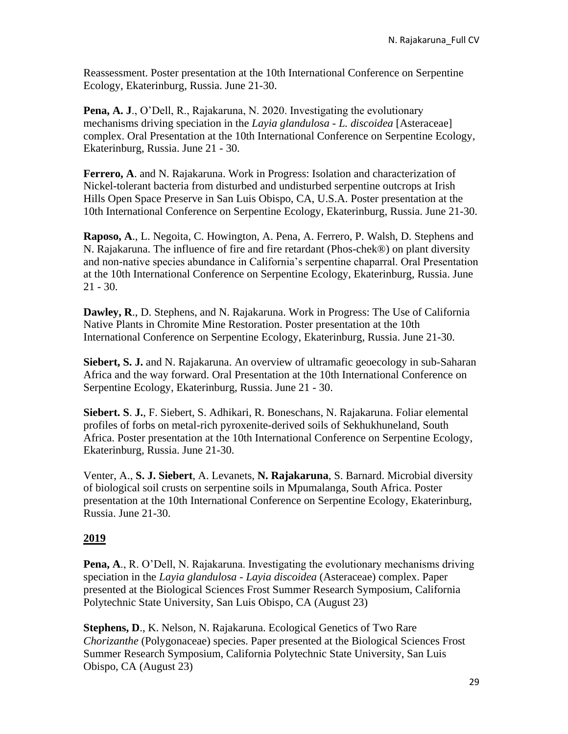Reassessment. Poster presentation at the 10th International Conference on Serpentine Ecology, Ekaterinburg, Russia. June 21-30.

**Pena, A. J**., O'Dell, R., Rajakaruna, N. 2020. Investigating the evolutionary mechanisms driving speciation in the *Layia glandulosa* - *L. discoidea* [Asteraceae] complex. Oral Presentation at the 10th International Conference on Serpentine Ecology, Ekaterinburg, Russia. June 21 - 30.

**Ferrero, A**. and N. Rajakaruna. Work in Progress: Isolation and characterization of Nickel-tolerant bacteria from disturbed and undisturbed serpentine outcrops at Irish Hills Open Space Preserve in San Luis Obispo, CA, U.S.A. Poster presentation at the 10th International Conference on Serpentine Ecology, Ekaterinburg, Russia. June 21-30.

**Raposo, A**., L. Negoita, C. Howington, A. Pena, A. Ferrero, P. Walsh, D. Stephens and N. Rajakaruna. The influence of fire and fire retardant (Phos-chek®) on plant diversity and non-native species abundance in California's serpentine chaparral. Oral Presentation at the 10th International Conference on Serpentine Ecology, Ekaterinburg, Russia. June 21 - 30.

**Dawley, R**., D. Stephens, and N. Rajakaruna. Work in Progress: The Use of California Native Plants in Chromite Mine Restoration. Poster presentation at the 10th International Conference on Serpentine Ecology, Ekaterinburg, Russia. June 21-30.

**Siebert, S. J.** and N. Rajakaruna. An overview of ultramafic geoecology in sub-Saharan Africa and the way forward. Oral Presentation at the 10th International Conference on Serpentine Ecology, Ekaterinburg, Russia. June 21 - 30.

**Siebert. S**. **J.**, F. Siebert, S. Adhikari, R. Boneschans, N. Rajakaruna. Foliar elemental profiles of forbs on metal-rich pyroxenite-derived soils of Sekhukhuneland, South Africa. Poster presentation at the 10th International Conference on Serpentine Ecology, Ekaterinburg, Russia. June 21-30.

Venter, A., **S. J. Siebert**, A. Levanets, **N. Rajakaruna**, S. Barnard. Microbial diversity of biological soil crusts on serpentine soils in Mpumalanga, South Africa. Poster presentation at the 10th International Conference on Serpentine Ecology, Ekaterinburg, Russia. June 21-30.

### **2019**

**Pena, A**., R. O'Dell, N. Rajakaruna. Investigating the evolutionary mechanisms driving speciation in the *Layia glandulosa* - *Layia discoidea* (Asteraceae) complex. Paper presented at the Biological Sciences Frost Summer Research Symposium, California Polytechnic State University, San Luis Obispo, CA (August 23)

**Stephens, D**., K. Nelson, N. Rajakaruna. Ecological Genetics of Two Rare *Chorizanthe* (Polygonaceae) species. Paper presented at the Biological Sciences Frost Summer Research Symposium, California Polytechnic State University, San Luis Obispo, CA (August 23)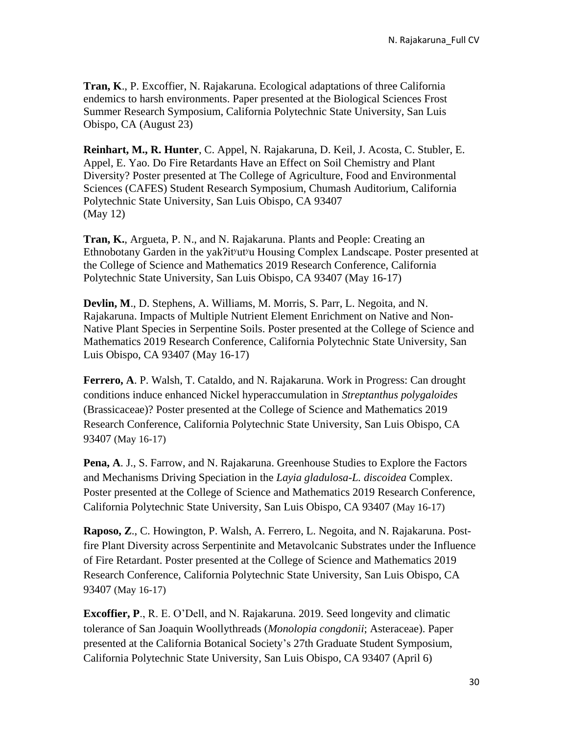**Tran, K**., P. Excoffier, N. Rajakaruna. Ecological adaptations of three California endemics to harsh environments. Paper presented at the Biological Sciences Frost Summer Research Symposium, California Polytechnic State University, San Luis Obispo, CA (August 23)

**Reinhart, M., R. Hunter**, C. Appel, N. Rajakaruna, D. Keil, J. Acosta, C. Stubler, E. Appel, E. Yao. Do Fire Retardants Have an Effect on Soil Chemistry and Plant Diversity? Poster presented at The College of Agriculture, Food and Environmental Sciences (CAFES) Student Research Symposium, Chumash Auditorium, California Polytechnic State University, San Luis Obispo, CA 93407 (May 12)

**Tran, K.**, Argueta, P. N., and N. Rajakaruna. Plants and People: Creating an Ethnobotany Garden in the yak?it<sup>y</sup>ut<sup>y</sup>u Housing Complex Landscape. Poster presented at the College of Science and Mathematics 2019 Research Conference, California Polytechnic State University, San Luis Obispo, CA 93407 (May 16-17)

**Devlin, M**., D. Stephens, A. Williams, M. Morris, S. Parr, L. Negoita, and N. Rajakaruna. Impacts of Multiple Nutrient Element Enrichment on Native and Non-Native Plant Species in Serpentine Soils. Poster presented at the College of Science and Mathematics 2019 Research Conference, California Polytechnic State University, San Luis Obispo, CA 93407 (May 16-17)

**Ferrero, A**. P. Walsh, T. Cataldo, and N. Rajakaruna. Work in Progress: Can drought conditions induce enhanced Nickel hyperaccumulation in *Streptanthus polygaloides* (Brassicaceae)? Poster presented at the College of Science and Mathematics 2019 Research Conference, California Polytechnic State University, San Luis Obispo, CA 93407 (May 16-17)

**Pena, A**. J., S. Farrow, and N. Rajakaruna. Greenhouse Studies to Explore the Factors and Mechanisms Driving Speciation in the *Layia gladulosa-L. discoidea* Complex. Poster presented at the College of Science and Mathematics 2019 Research Conference, California Polytechnic State University, San Luis Obispo, CA 93407 (May 16-17)

**Raposo, Z**., C. Howington, P. Walsh, A. Ferrero, L. Negoita, and N. Rajakaruna. Postfire Plant Diversity across Serpentinite and Metavolcanic Substrates under the Influence of Fire Retardant. Poster presented at the College of Science and Mathematics 2019 Research Conference, California Polytechnic State University, San Luis Obispo, CA 93407 (May 16-17)

**Excoffier, P**., R. E. O'Dell, and N. Rajakaruna. 2019. Seed longevity and climatic tolerance of San Joaquin Woollythreads (*Monolopia congdonii*; Asteraceae). Paper presented at the California Botanical Society's 27th Graduate Student Symposium, California Polytechnic State University, San Luis Obispo, CA 93407 (April 6)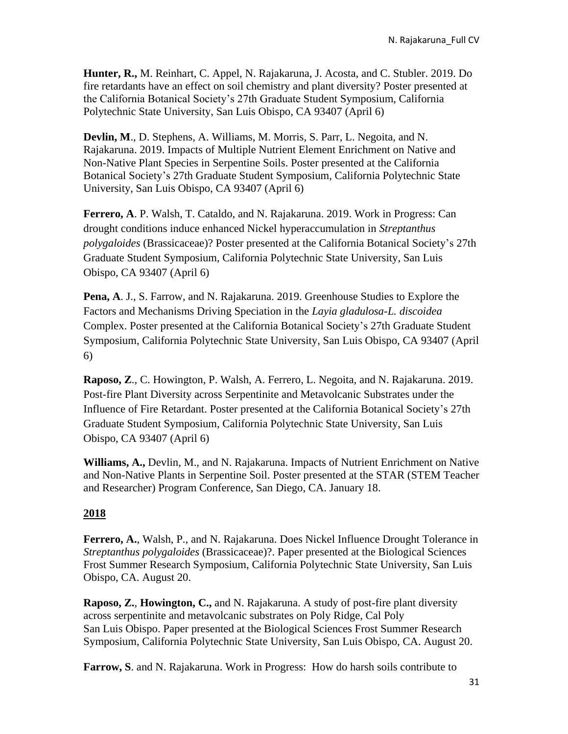**Hunter, R.,** M. Reinhart, C. Appel, N. Rajakaruna, J. Acosta, and C. Stubler. 2019. Do fire retardants have an effect on soil chemistry and plant diversity? Poster presented at the California Botanical Society's 27th Graduate Student Symposium, California Polytechnic State University, San Luis Obispo, CA 93407 (April 6)

**Devlin, M**., D. Stephens, A. Williams, M. Morris, S. Parr, L. Negoita, and N. Rajakaruna. 2019. Impacts of Multiple Nutrient Element Enrichment on Native and Non-Native Plant Species in Serpentine Soils. Poster presented at the California Botanical Society's 27th Graduate Student Symposium, California Polytechnic State University, San Luis Obispo, CA 93407 (April 6)

**Ferrero, A**. P. Walsh, T. Cataldo, and N. Rajakaruna. 2019. Work in Progress: Can drought conditions induce enhanced Nickel hyperaccumulation in *Streptanthus polygaloides* (Brassicaceae)? Poster presented at the California Botanical Society's 27th Graduate Student Symposium, California Polytechnic State University, San Luis Obispo, CA 93407 (April 6)

**Pena, A**. J., S. Farrow, and N. Rajakaruna. 2019. Greenhouse Studies to Explore the Factors and Mechanisms Driving Speciation in the *Layia gladulosa-L. discoidea* Complex. Poster presented at the California Botanical Society's 27th Graduate Student Symposium, California Polytechnic State University, San Luis Obispo, CA 93407 (April 6)

**Raposo, Z**., C. Howington, P. Walsh, A. Ferrero, L. Negoita, and N. Rajakaruna. 2019. Post-fire Plant Diversity across Serpentinite and Metavolcanic Substrates under the Influence of Fire Retardant. Poster presented at the California Botanical Society's 27th Graduate Student Symposium, California Polytechnic State University, San Luis Obispo, CA 93407 (April 6)

**Williams, A.,** Devlin, M., and N. Rajakaruna. Impacts of Nutrient Enrichment on Native and Non-Native Plants in Serpentine Soil. Poster presented at the STAR (STEM Teacher and Researcher) Program Conference, San Diego, CA. January 18.

### **2018**

**Ferrero, A.**, Walsh, P., and N. Rajakaruna. Does Nickel Influence Drought Tolerance in *Streptanthus polygaloides* (Brassicaceae)?. Paper presented at the Biological Sciences Frost Summer Research Symposium, California Polytechnic State University, San Luis Obispo, CA. August 20.

**Raposo, Z.**, **Howington, C.,** and N. Rajakaruna. A study of post-fire plant diversity across serpentinite and metavolcanic substrates on Poly Ridge, Cal Poly San Luis Obispo. Paper presented at the Biological Sciences Frost Summer Research Symposium, California Polytechnic State University, San Luis Obispo, CA. August 20.

**Farrow, S**. and N. Rajakaruna. Work in Progress: How do harsh soils contribute to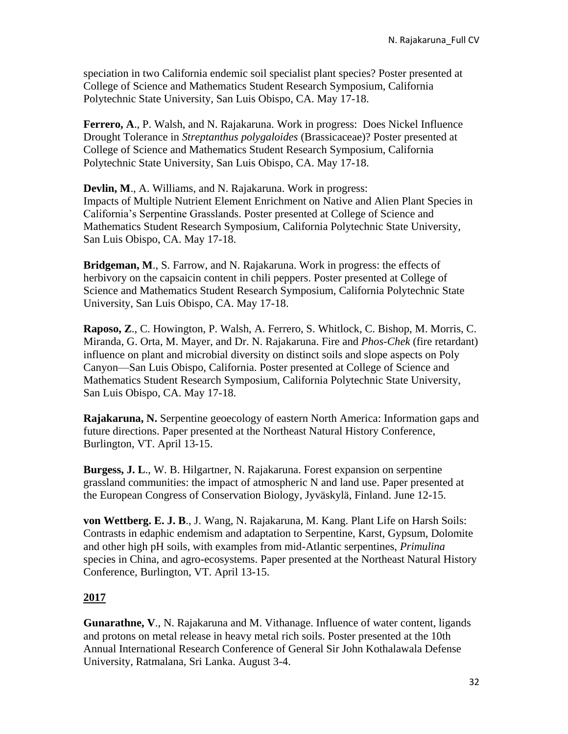speciation in two California endemic soil specialist plant species? Poster presented at College of Science and Mathematics Student Research Symposium, California Polytechnic State University, San Luis Obispo, CA. May 17-18.

**Ferrero, A**., P. Walsh, and N. Rajakaruna. Work in progress: Does Nickel Influence Drought Tolerance in *Streptanthus polygaloides* (Brassicaceae)? Poster presented at College of Science and Mathematics Student Research Symposium, California Polytechnic State University, San Luis Obispo, CA. May 17-18.

**Devlin, M**., A. Williams, and N. Rajakaruna. Work in progress: Impacts of Multiple Nutrient Element Enrichment on Native and Alien Plant Species in California's Serpentine Grasslands. Poster presented at College of Science and Mathematics Student Research Symposium, California Polytechnic State University, San Luis Obispo, CA. May 17-18.

**Bridgeman, M**., S. Farrow, and N. Rajakaruna. Work in progress: the effects of herbivory on the capsaicin content in chili peppers. Poster presented at College of Science and Mathematics Student Research Symposium, California Polytechnic State University, San Luis Obispo, CA. May 17-18.

**Raposo, Z**., C. Howington, P. Walsh, A. Ferrero, S. Whitlock, C. Bishop, M. Morris, C. Miranda, G. Orta, M. Mayer, and Dr. N. Rajakaruna. Fire and *Phos-Chek* (fire retardant) influence on plant and microbial diversity on distinct soils and slope aspects on Poly Canyon—San Luis Obispo, California. Poster presented at College of Science and Mathematics Student Research Symposium, California Polytechnic State University, San Luis Obispo, CA. May 17-18.

**Rajakaruna, N.** Serpentine geoecology of eastern North America: Information gaps and future directions. Paper presented at the Northeast Natural History Conference, Burlington, VT. April 13-15.

**Burgess, J. L**., W. B. Hilgartner, N. Rajakaruna. Forest expansion on serpentine grassland communities: the impact of atmospheric N and land use. Paper presented at the European Congress of Conservation Biology, Jyväskylä, Finland. June 12-15.

**von Wettberg. E. J. B**., J. Wang, N. Rajakaruna, M. Kang. Plant Life on Harsh Soils: Contrasts in edaphic endemism and adaptation to Serpentine, Karst, Gypsum, Dolomite and other high pH soils, with examples from mid-Atlantic serpentines, *Primulina* species in China, and agro-ecosystems. Paper presented at the Northeast Natural History Conference, Burlington, VT. April 13-15.

### **2017**

**Gunarathne, V**., N. Rajakaruna and M. Vithanage. Influence of water content, ligands and protons on metal release in heavy metal rich soils. Poster presented at the 10th Annual International Research Conference of General Sir John Kothalawala Defense University, Ratmalana, Sri Lanka. August 3-4.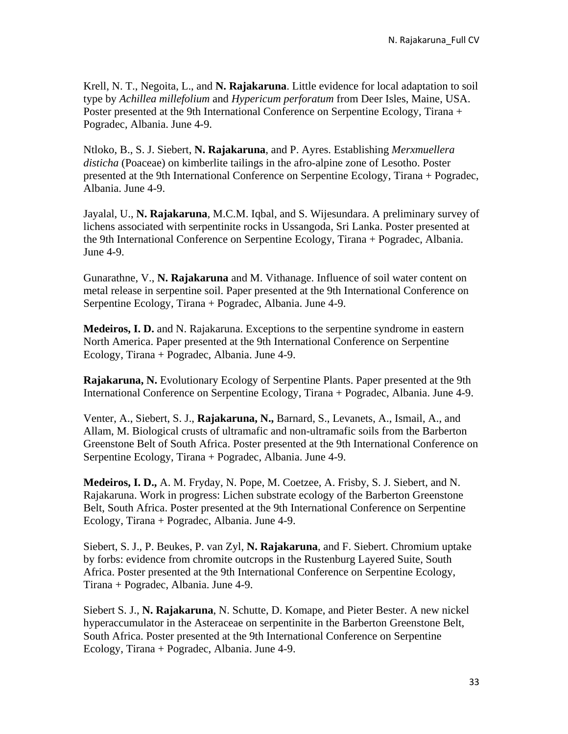Krell, N. T., Negoita, L., and **N. Rajakaruna**. Little evidence for local adaptation to soil type by *Achillea millefolium* and *Hypericum perforatum* from Deer Isles, Maine, USA. Poster presented at the 9th International Conference on Serpentine Ecology, Tirana + Pogradec, Albania. June 4-9.

Ntloko, B., S. J. Siebert, **N. Rajakaruna**, and P. Ayres. Establishing *Merxmuellera disticha* (Poaceae) on kimberlite tailings in the afro-alpine zone of Lesotho. Poster presented at the 9th International Conference on Serpentine Ecology, Tirana + Pogradec, Albania. June 4-9.

Jayalal, U., **N. Rajakaruna**, M.C.M. Iqbal, and S. Wijesundara. A preliminary survey of lichens associated with serpentinite rocks in Ussangoda, Sri Lanka. Poster presented at the 9th International Conference on Serpentine Ecology, Tirana + Pogradec, Albania. June 4-9.

Gunarathne, V., **N. Rajakaruna** and M. Vithanage. Influence of soil water content on metal release in serpentine soil. Paper presented at the 9th International Conference on Serpentine Ecology, Tirana + Pogradec, Albania. June 4-9.

**Medeiros, I. D.** and N. Rajakaruna. Exceptions to the serpentine syndrome in eastern North America. Paper presented at the 9th International Conference on Serpentine Ecology, Tirana + Pogradec, Albania. June 4-9.

**Rajakaruna, N.** Evolutionary Ecology of Serpentine Plants. Paper presented at the 9th International Conference on Serpentine Ecology, Tirana + Pogradec, Albania. June 4-9.

Venter, A., Siebert, S. J., **Rajakaruna, N.,** Barnard, S., Levanets, A., Ismail, A., and Allam, M. Biological crusts of ultramafic and non-ultramafic soils from the Barberton Greenstone Belt of South Africa. Poster presented at the 9th International Conference on Serpentine Ecology, Tirana + Pogradec, Albania. June 4-9.

**Medeiros, I. D.,** A. M. Fryday, N. Pope, M. Coetzee, A. Frisby, S. J. Siebert, and N. Rajakaruna. Work in progress: Lichen substrate ecology of the Barberton Greenstone Belt, South Africa. Poster presented at the 9th International Conference on Serpentine Ecology, Tirana + Pogradec, Albania. June 4-9.

Siebert, S. J., P. Beukes, P. van Zyl, **N. Rajakaruna**, and F. Siebert. Chromium uptake by forbs: evidence from chromite outcrops in the Rustenburg Layered Suite, South Africa. Poster presented at the 9th International Conference on Serpentine Ecology, Tirana + Pogradec, Albania. June 4-9.

Siebert S. J., **N. Rajakaruna**, N. Schutte, D. Komape, and Pieter Bester. A new nickel hyperaccumulator in the Asteraceae on serpentinite in the Barberton Greenstone Belt, South Africa. Poster presented at the 9th International Conference on Serpentine Ecology, Tirana + Pogradec, Albania. June 4-9.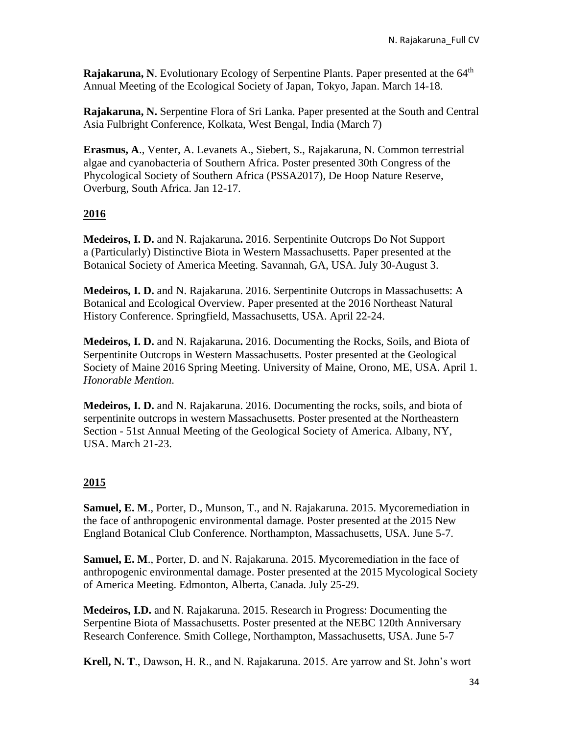**Rajakaruna, N**. Evolutionary Ecology of Serpentine Plants. Paper presented at the 64<sup>th</sup> Annual Meeting of the Ecological Society of Japan, Tokyo, Japan. March 14-18.

**Rajakaruna, N.** Serpentine Flora of Sri Lanka. Paper presented at the South and Central Asia Fulbright Conference, Kolkata, West Bengal, India (March 7)

**Erasmus, A**., Venter, A. Levanets A., Siebert, S., Rajakaruna, N. Common terrestrial algae and cyanobacteria of Southern Africa. Poster presented 30th Congress of the Phycological Society of Southern Africa (PSSA2017), De Hoop Nature Reserve, Overburg, South Africa. Jan 12-17.

# **2016**

**Medeiros, I. D.** and N. Rajakaruna**.** 2016. Serpentinite Outcrops Do Not Support a (Particularly) Distinctive Biota in Western Massachusetts. Paper presented at the Botanical Society of America Meeting. Savannah, GA, USA. July 30-August 3.

**Medeiros, I. D.** and N. Rajakaruna. 2016. Serpentinite Outcrops in Massachusetts: A Botanical and Ecological Overview. Paper presented at the 2016 Northeast Natural History Conference. Springfield, Massachusetts, USA. April 22-24.

**Medeiros, I. D.** and N. Rajakaruna**.** 2016. Documenting the Rocks, Soils, and Biota of Serpentinite Outcrops in Western Massachusetts. Poster presented at the Geological Society of Maine 2016 Spring Meeting. University of Maine, Orono, ME, USA. April 1. *Honorable Mention*.

**Medeiros, I. D.** and N. Rajakaruna. 2016. Documenting the rocks, soils, and biota of serpentinite outcrops in western Massachusetts. Poster presented at the Northeastern Section - 51st Annual Meeting of the Geological Society of America. Albany, NY, USA. March 21-23.

### **2015**

**Samuel, E. M**., Porter, D., Munson, T., and N. Rajakaruna. 2015. Mycoremediation in the face of anthropogenic environmental damage. Poster presented at the 2015 New England Botanical Club Conference. Northampton, Massachusetts, USA. June 5-7.

**Samuel, E. M., Porter, D. and N. Rajakaruna. 2015. Mycoremediation in the face of** anthropogenic environmental damage. Poster presented at the 2015 Mycological Society of America Meeting. Edmonton, Alberta, Canada. July 25-29.

**Medeiros, I.D.** and N. Rajakaruna. 2015. Research in Progress: Documenting the Serpentine Biota of Massachusetts. Poster presented at the NEBC 120th Anniversary Research Conference. Smith College, Northampton, Massachusetts, USA. June 5-7

**Krell, N. T**., Dawson, H. R., and N. Rajakaruna. 2015. Are yarrow and St. John's wort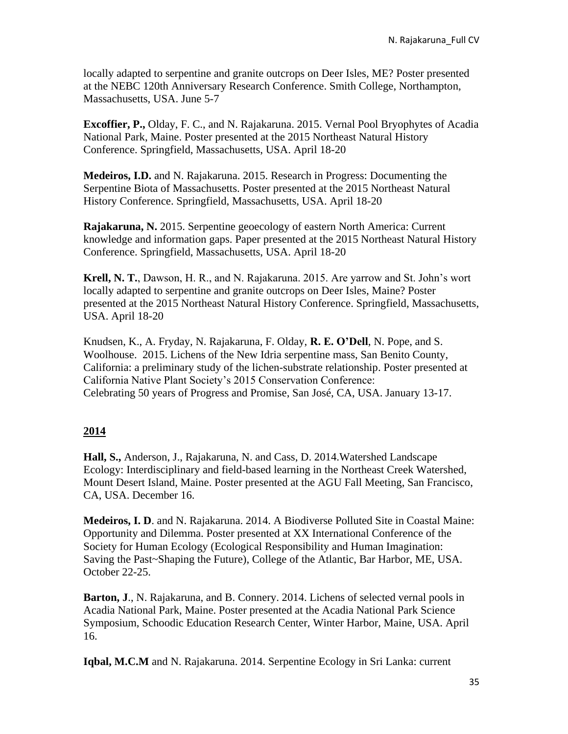locally adapted to serpentine and granite outcrops on Deer Isles, ME? Poster presented at the NEBC 120th Anniversary Research Conference. Smith College, Northampton, Massachusetts, USA. June 5-7

**Excoffier, P.,** Olday, F. C., and N. Rajakaruna. 2015. Vernal Pool Bryophytes of Acadia National Park, Maine. Poster presented at the 2015 Northeast Natural History Conference. Springfield, Massachusetts, USA. April 18-20

**Medeiros, I.D.** and N. Rajakaruna. 2015. Research in Progress: Documenting the Serpentine Biota of Massachusetts. Poster presented at the 2015 Northeast Natural History Conference. Springfield, Massachusetts, USA. April 18-20

**Rajakaruna, N.** 2015. Serpentine geoecology of eastern North America: Current knowledge and information gaps. Paper presented at the 2015 Northeast Natural History Conference. Springfield, Massachusetts, USA. April 18-20

**Krell, N. T.**, Dawson, H. R., and N. Rajakaruna. 2015. Are yarrow and St. John's wort locally adapted to serpentine and granite outcrops on Deer Isles, Maine? Poster presented at the 2015 Northeast Natural History Conference. Springfield, Massachusetts, USA. April 18-20

Knudsen, K., A. Fryday, N. Rajakaruna, F. Olday, **R. E. O'Dell**, N. Pope, and S. Woolhouse. 2015. Lichens of the New Idria serpentine mass, San Benito County, California: a preliminary study of the lichen-substrate relationship. Poster presented at California Native Plant Society's 2015 Conservation Conference: Celebrating 50 years of Progress and Promise, San José, CA, USA. January 13-17.

### **2014**

**Hall, S.,** Anderson, J., Rajakaruna, N. and Cass, D. 2014.Watershed Landscape Ecology: Interdisciplinary and field-based learning in the Northeast Creek Watershed, Mount Desert Island, Maine. Poster presented at the AGU Fall Meeting, San Francisco, CA, USA. December 16.

**Medeiros, I. D**. and N. Rajakaruna. 2014. A Biodiverse Polluted Site in Coastal Maine: Opportunity and Dilemma. Poster presented at XX International Conference of the Society for Human Ecology (Ecological Responsibility and Human Imagination: Saving the Past~Shaping the Future), College of the Atlantic, Bar Harbor, ME, USA. October 22-25.

**Barton, J**., N. Rajakaruna, and B. Connery. 2014. Lichens of selected vernal pools in Acadia National Park, Maine. Poster presented at the Acadia National Park Science Symposium, Schoodic Education Research Center, Winter Harbor, Maine, USA. April 16.

**Iqbal, M.C.M** and N. Rajakaruna. 2014. Serpentine Ecology in Sri Lanka: current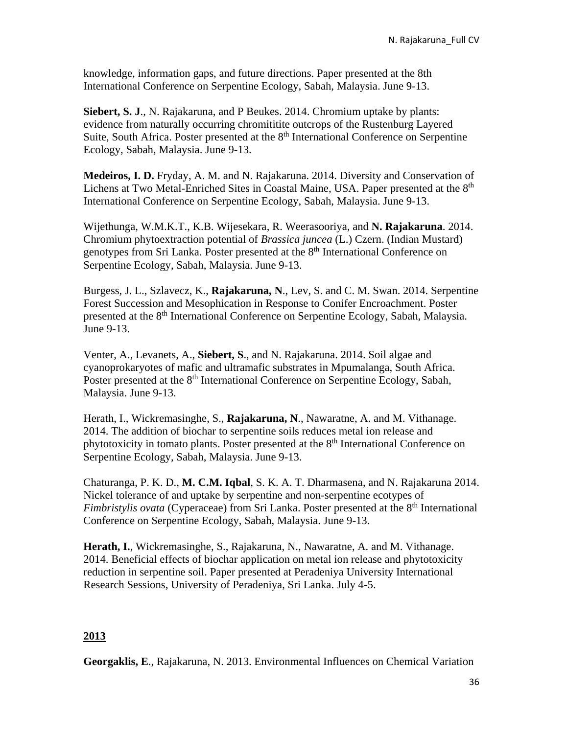knowledge, information gaps, and future directions. Paper presented at the 8th International Conference on Serpentine Ecology, Sabah, Malaysia. June 9-13.

**Siebert, S. J**., N. Rajakaruna, and P Beukes. 2014. Chromium uptake by plants: evidence from naturally occurring chromititite outcrops of the Rustenburg Layered Suite, South Africa. Poster presented at the  $8<sup>th</sup>$  International Conference on Serpentine Ecology, Sabah, Malaysia. June 9-13.

Medeiros, I. D. Fryday, A. M. and N. Rajakaruna. 2014. Diversity and Conservation of Lichens at Two Metal-Enriched Sites in Coastal Maine, USA. Paper presented at the 8<sup>th</sup> International Conference on Serpentine Ecology, Sabah, Malaysia. June 9-13.

Wijethunga, W.M.K.T., K.B. Wijesekara, R. Weerasooriya, and **N. Rajakaruna**. 2014. Chromium phytoextraction potential of *Brassica juncea* (L.) Czern. (Indian Mustard) genotypes from Sri Lanka. Poster presented at the 8<sup>th</sup> International Conference on Serpentine Ecology, Sabah, Malaysia. June 9-13.

Burgess, J. L., Szlavecz, K., **Rajakaruna, N**., Lev, S. and C. M. Swan. 2014. Serpentine Forest Succession and Mesophication in Response to Conifer Encroachment. Poster presented at the 8<sup>th</sup> International Conference on Serpentine Ecology, Sabah, Malaysia. June 9-13.

Venter, A., Levanets, A., **Siebert, S**., and N. Rajakaruna. 2014. Soil algae and cyanoprokaryotes of mafic and ultramafic substrates in Mpumalanga, South Africa. Poster presented at the 8<sup>th</sup> International Conference on Serpentine Ecology, Sabah, Malaysia. June 9-13.

Herath, I., Wickremasinghe, S., **Rajakaruna, N**., Nawaratne, A. and M. Vithanage. 2014. The addition of biochar to serpentine soils reduces metal ion release and phytotoxicity in tomato plants. Poster presented at the 8<sup>th</sup> International Conference on Serpentine Ecology, Sabah, Malaysia. June 9-13.

Chaturanga, P. K. D., **M. C.M. Iqbal**, S. K. A. T. Dharmasena, and N. Rajakaruna 2014. Nickel tolerance of and uptake by serpentine and non-serpentine ecotypes of *Fimbristylis ovata* (Cyperaceae) from Sri Lanka. Poster presented at the 8<sup>th</sup> International Conference on Serpentine Ecology, Sabah, Malaysia. June 9-13.

**Herath, I.**, Wickremasinghe, S., Rajakaruna, N., Nawaratne, A. and M. Vithanage. 2014. Beneficial effects of biochar application on metal ion release and phytotoxicity reduction in serpentine soil. Paper presented at Peradeniya University International Research Sessions, University of Peradeniya, Sri Lanka. July 4-5.

### **2013**

**Georgaklis, E**., Rajakaruna, N. 2013. Environmental Influences on Chemical Variation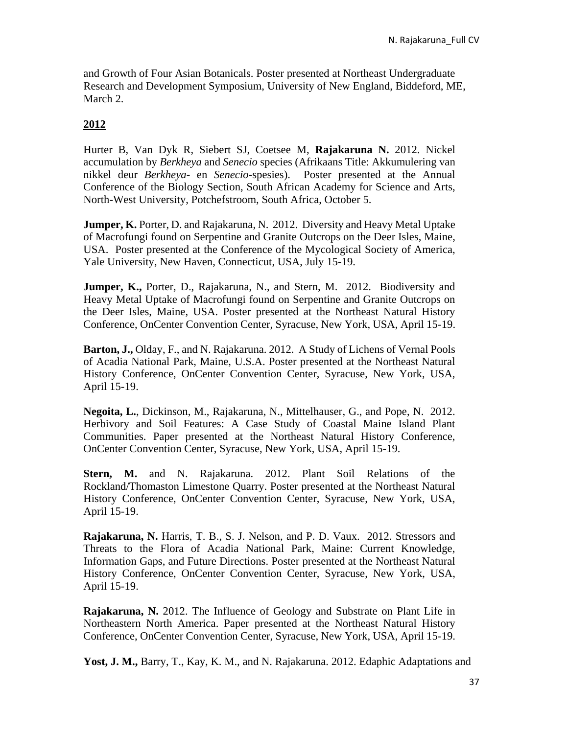and Growth of Four Asian Botanicals. Poster presented at Northeast Undergraduate Research and Development Symposium, University of New England, Biddeford, ME, March 2.

# **2012**

Hurter B, Van Dyk R, Siebert SJ, Coetsee M, **Rajakaruna N.** 2012. Nickel accumulation by *Berkheya* and *Senecio* species (Afrikaans Title: Akkumulering van nikkel deur *Berkheya*- en *Senecio*-spesies). Poster presented at the Annual Conference of the Biology Section, South African Academy for Science and Arts, North-West University, Potchefstroom, South Africa, October 5.

**Jumper, K.** Porter, D. and Rajakaruna, N. 2012. Diversity and Heavy Metal Uptake of Macrofungi found on Serpentine and Granite Outcrops on the Deer Isles, Maine, USA. Poster presented at the Conference of the Mycological Society of America, Yale University, New Haven, Connecticut, USA, July 15-19.

**Jumper, K., Porter, D., Rajakaruna, N., and Stern, M. 2012. Biodiversity and** Heavy Metal Uptake of Macrofungi found on Serpentine and Granite Outcrops on the Deer Isles, Maine, USA. Poster presented at the Northeast Natural History Conference, OnCenter Convention Center, Syracuse, New York, USA, April 15-19.

**Barton, J.,** Olday, F., and N. Rajakaruna. 2012. A Study of Lichens of Vernal Pools of Acadia National Park, Maine, U.S.A. Poster presented at the Northeast Natural History Conference, OnCenter Convention Center, Syracuse, New York, USA, April 15-19.

**Negoita, L.**, Dickinson, M., Rajakaruna, N., Mittelhauser, G., and Pope, N. 2012. Herbivory and Soil Features: A Case Study of Coastal Maine Island Plant Communities. Paper presented at the Northeast Natural History Conference, OnCenter Convention Center, Syracuse, New York, USA, April 15-19.

**Stern, M.** and N. Rajakaruna. 2012. Plant Soil Relations of the Rockland/Thomaston Limestone Quarry. Poster presented at the Northeast Natural History Conference, OnCenter Convention Center, Syracuse, New York, USA, April 15-19.

**Rajakaruna, N.** Harris, T. B., S. J. Nelson, and P. D. Vaux. 2012. Stressors and Threats to the Flora of Acadia National Park, Maine: Current Knowledge, Information Gaps, and Future Directions. Poster presented at the Northeast Natural History Conference, OnCenter Convention Center, Syracuse, New York, USA, April 15-19.

**Rajakaruna, N.** 2012. The Influence of Geology and Substrate on Plant Life in Northeastern North America. Paper presented at the Northeast Natural History Conference, OnCenter Convention Center, Syracuse, New York, USA, April 15-19.

**Yost, J. M.,** Barry, T., Kay, K. M., and N. Rajakaruna. 2012. Edaphic Adaptations and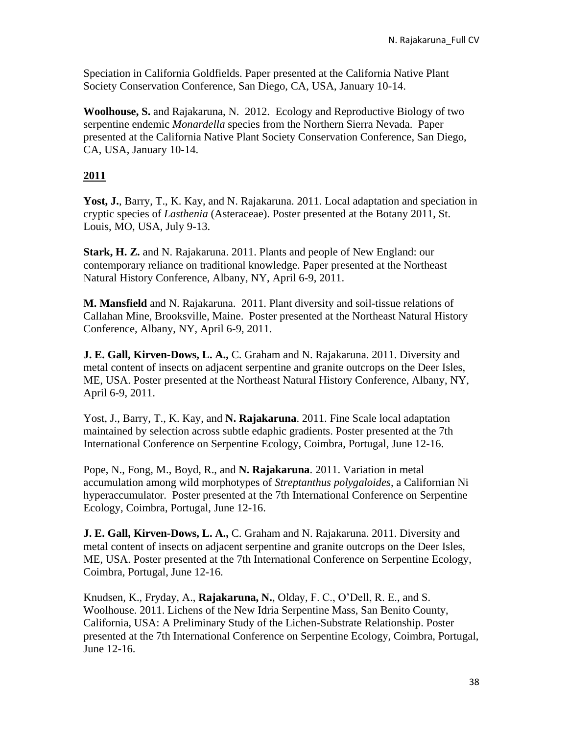Speciation in California Goldfields. Paper presented at the California Native Plant Society Conservation Conference, San Diego, CA, USA, January 10-14.

**Woolhouse, S.** and Rajakaruna, N. 2012. Ecology and Reproductive Biology of two serpentine endemic *Monardella* species from the Northern Sierra Nevada. Paper presented at the California Native Plant Society Conservation Conference, San Diego, CA, USA, January 10-14.

# **2011**

Yost, J., Barry, T., K. Kay, and N. Rajakaruna. 2011. Local adaptation and speciation in cryptic species of *Lasthenia* (Asteraceae). Poster presented at the Botany 2011, St. Louis, MO, USA, July 9-13.

**Stark, H. Z.** and N. Rajakaruna. 2011. Plants and people of New England: our contemporary reliance on traditional knowledge. Paper presented at the Northeast Natural History Conference, Albany, NY, April 6-9, 2011.

**M. Mansfield** and N. Rajakaruna. 2011. Plant diversity and soil-tissue relations of Callahan Mine, Brooksville, Maine. Poster presented at the Northeast Natural History Conference, Albany, NY, April 6-9, 2011.

**J. E. Gall, Kirven-Dows, L. A.,** C. Graham and N. Rajakaruna. 2011. Diversity and metal content of insects on adjacent serpentine and granite outcrops on the Deer Isles, ME, USA. Poster presented at the Northeast Natural History Conference, Albany, NY, April 6-9, 2011.

Yost, J., Barry, T., K. Kay, and **N. Rajakaruna**. 2011. Fine Scale local adaptation maintained by selection across subtle edaphic gradients. Poster presented at the 7th International Conference on Serpentine Ecology, Coimbra, Portugal, June 12-16.

Pope, N., Fong, M., Boyd, R., and **N. Rajakaruna**. 2011. Variation in metal accumulation among wild morphotypes of *Streptanthus polygaloides*, a Californian Ni hyperaccumulator. Poster presented at the 7th International Conference on Serpentine Ecology, Coimbra, Portugal, June 12-16.

**J. E. Gall, Kirven-Dows, L. A.,** C. Graham and N. Rajakaruna. 2011. Diversity and metal content of insects on adjacent serpentine and granite outcrops on the Deer Isles, ME, USA. Poster presented at the 7th International Conference on Serpentine Ecology, Coimbra, Portugal, June 12-16.

Knudsen, K., Fryday, A., **Rajakaruna, N.**, Olday, F. C., O'Dell, R. E., and S. Woolhouse. 2011. Lichens of the New Idria Serpentine Mass, San Benito County, California, USA: A Preliminary Study of the Lichen-Substrate Relationship. Poster presented at the 7th International Conference on Serpentine Ecology, Coimbra, Portugal, June 12-16.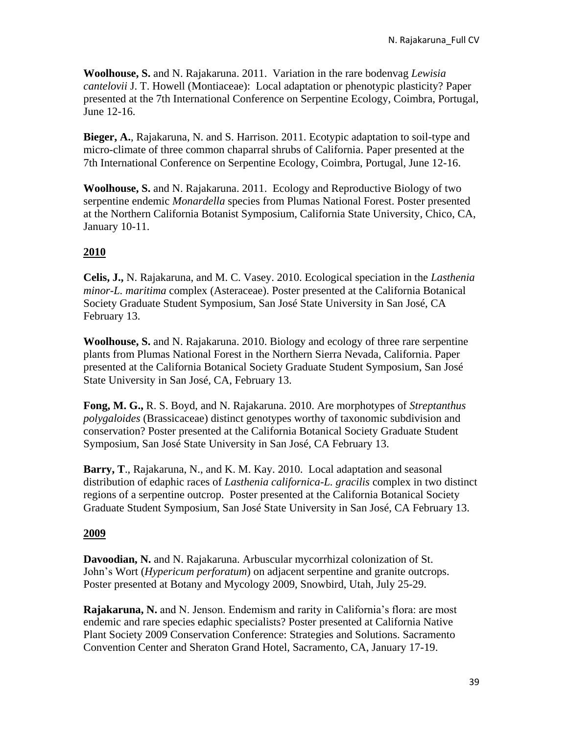**Woolhouse, S.** and N. Rajakaruna. 2011. Variation in the rare bodenvag *Lewisia cantelovii* J. T. Howell (Montiaceae): Local adaptation or phenotypic plasticity? Paper presented at the 7th International Conference on Serpentine Ecology, Coimbra, Portugal, June 12-16.

**Bieger, A.**, Rajakaruna, N. and S. Harrison. 2011. Ecotypic adaptation to soil-type and micro-climate of three common chaparral shrubs of California. Paper presented at the 7th International Conference on Serpentine Ecology, Coimbra, Portugal, June 12-16.

**Woolhouse, S.** and N. Rajakaruna. 2011. Ecology and Reproductive Biology of two serpentine endemic *Monardella* species from Plumas National Forest. Poster presented at the Northern California Botanist Symposium, California State University, Chico, CA, January 10-11.

### **2010**

**Celis, J.,** N. Rajakaruna, and M. C. Vasey. 2010. Ecological speciation in the *Lasthenia minor*-*L. maritima* complex (Asteraceae). Poster presented at the California Botanical Society Graduate Student Symposium, San José State University in San José, CA February 13.

**Woolhouse, S.** and N. Rajakaruna. 2010. Biology and ecology of three rare serpentine plants from Plumas National Forest in the Northern Sierra Nevada, California. Paper presented at the California Botanical Society Graduate Student Symposium, San José State University in San José, CA, February 13.

**Fong, M. G.,** R. S. Boyd, and N. Rajakaruna. 2010. Are morphotypes of *Streptanthus polygaloides* (Brassicaceae) distinct genotypes worthy of taxonomic subdivision and conservation? Poster presented at the California Botanical Society Graduate Student Symposium, San José State University in San José, CA February 13.

**Barry, T**., Rajakaruna, N., and K. M. Kay. 2010. Local adaptation and seasonal distribution of edaphic races of *Lasthenia californica*-*L. gracilis* complex in two distinct regions of a serpentine outcrop. Poster presented at the California Botanical Society Graduate Student Symposium, San José State University in San José, CA February 13.

#### **2009**

**Davoodian, N.** and N. Rajakaruna. Arbuscular mycorrhizal colonization of St. John's Wort (*Hypericum perforatum*) on adjacent serpentine and granite outcrops. Poster presented at Botany and Mycology 2009, Snowbird, Utah, July 25-29.

**Rajakaruna, N.** and N. Jenson. Endemism and rarity in California's flora: are most endemic and rare species edaphic specialists? Poster presented at California Native Plant Society 2009 Conservation Conference: Strategies and Solutions. Sacramento Convention Center and Sheraton Grand Hotel, Sacramento, CA, January 17-19.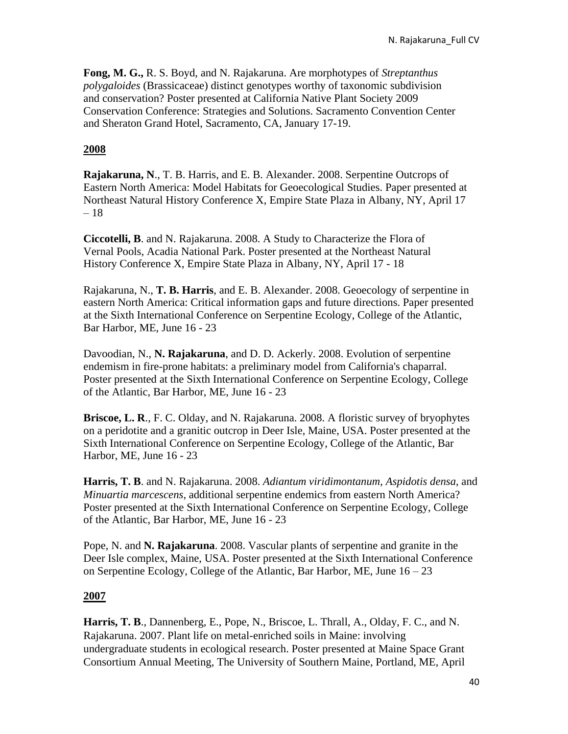**Fong, M. G.,** R. S. Boyd, and N. Rajakaruna. Are morphotypes of *Streptanthus polygaloides* (Brassicaceae) distinct genotypes worthy of taxonomic subdivision and conservation? Poster presented at California Native Plant Society 2009 Conservation Conference: Strategies and Solutions. Sacramento Convention Center and Sheraton Grand Hotel, Sacramento, CA, January 17-19.

### **2008**

**Rajakaruna, N**., T. B. Harris, and E. B. Alexander. 2008. Serpentine Outcrops of Eastern North America: Model Habitats for Geoecological Studies. Paper presented at Northeast Natural History Conference X, Empire State Plaza in Albany, NY, April 17 – 18

**Ciccotelli, B**. and N. Rajakaruna. 2008. A Study to Characterize the Flora of Vernal Pools, Acadia National Park. Poster presented at the Northeast Natural History Conference X, Empire State Plaza in Albany, NY, April 17 - 18

Rajakaruna, N., **T. B. Harris**, and E. B. Alexander. 2008. Geoecology of serpentine in eastern North America: Critical information gaps and future directions. Paper presented at the Sixth International Conference on Serpentine Ecology, College of the Atlantic, Bar Harbor, ME, June 16 - 23

Davoodian, N., **N. Rajakaruna**, and D. D. Ackerly. 2008. Evolution of serpentine endemism in fire-prone habitats: a preliminary model from California's chaparral. Poster presented at the Sixth International Conference on Serpentine Ecology, College of the Atlantic, Bar Harbor, ME, June 16 - 23

**Briscoe, L. R**., F. C. Olday, and N. Rajakaruna. 2008. A floristic survey of bryophytes on a peridotite and a granitic outcrop in Deer Isle, Maine, USA. Poster presented at the Sixth International Conference on Serpentine Ecology, College of the Atlantic, Bar Harbor, ME, June 16 - 23

**Harris, T. B**. and N. Rajakaruna. 2008. *Adiantum viridimontanum*, *Aspidotis densa*, and *Minuartia marcescens*, additional serpentine endemics from eastern North America? Poster presented at the Sixth International Conference on Serpentine Ecology, College of the Atlantic, Bar Harbor, ME, June 16 - 23

Pope, N. and **N. Rajakaruna**. 2008. Vascular plants of serpentine and granite in the Deer Isle complex, Maine, USA. Poster presented at the Sixth International Conference on Serpentine Ecology, College of the Atlantic, Bar Harbor, ME, June 16 – 23

#### **2007**

**Harris, T. B**., Dannenberg, E., Pope, N., Briscoe, L. Thrall, A., Olday, F. C., and N. Rajakaruna. 2007. Plant life on metal-enriched soils in Maine: involving undergraduate students in ecological research. Poster presented at Maine Space Grant Consortium Annual Meeting, The University of Southern Maine, Portland, ME, April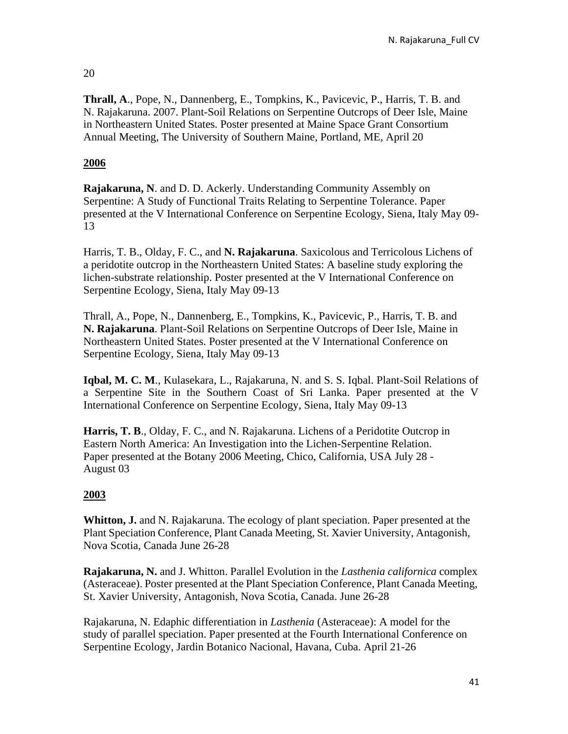# 20

**Thrall, A**., Pope, N., Dannenberg, E., Tompkins, K., Pavicevic, P., Harris, T. B. and N. Rajakaruna. 2007. Plant-Soil Relations on Serpentine Outcrops of Deer Isle, Maine in Northeastern United States. Poster presented at Maine Space Grant Consortium Annual Meeting, The University of Southern Maine, Portland, ME, April 20

# **2006**

**Rajakaruna, N**. and D. D. Ackerly. Understanding Community Assembly on Serpentine: A Study of Functional Traits Relating to Serpentine Tolerance. Paper presented at the V International Conference on Serpentine Ecology, Siena, Italy May 09- 13

Harris, T. B., Olday, F. C., and **N. Rajakaruna**. Saxicolous and Terricolous Lichens of a peridotite outcrop in the Northeastern United States: A baseline study exploring the lichen-substrate relationship. Poster presented at the V International Conference on Serpentine Ecology, Siena, Italy May 09-13

Thrall, A., Pope, N., Dannenberg, E., Tompkins, K., Pavicevic, P., Harris, T. B. and **N. Rajakaruna**. Plant-Soil Relations on Serpentine Outcrops of Deer Isle, Maine in Northeastern United States. Poster presented at the V International Conference on Serpentine Ecology, Siena, Italy May 09-13

**Iqbal, M. C. M**., Kulasekara, L., Rajakaruna, N. and S. S. Iqbal. Plant-Soil Relations of a Serpentine Site in the Southern Coast of Sri Lanka. Paper presented at the V International Conference on Serpentine Ecology, Siena, Italy May 09-13

**Harris, T. B**., Olday, F. C., and N. Rajakaruna. Lichens of a Peridotite Outcrop in Eastern North America: An Investigation into the Lichen-Serpentine Relation. Paper presented at the Botany 2006 Meeting, Chico, California, USA July 28 - August 03

# **2003**

**Whitton, J.** and N. Rajakaruna. The ecology of plant speciation. Paper presented at the Plant Speciation Conference, Plant Canada Meeting, St. Xavier University, Antagonish, Nova Scotia, Canada June 26-28

**Rajakaruna, N.** and J. Whitton. Parallel Evolution in the *Lasthenia californica* complex (Asteraceae). Poster presented at the Plant Speciation Conference, Plant Canada Meeting, St. Xavier University, Antagonish, Nova Scotia, Canada. June 26-28

Rajakaruna, N. Edaphic differentiation in *Lasthenia* (Asteraceae): A model for the study of parallel speciation. Paper presented at the Fourth International Conference on Serpentine Ecology, Jardin Botanico Nacional, Havana, Cuba. April 21-26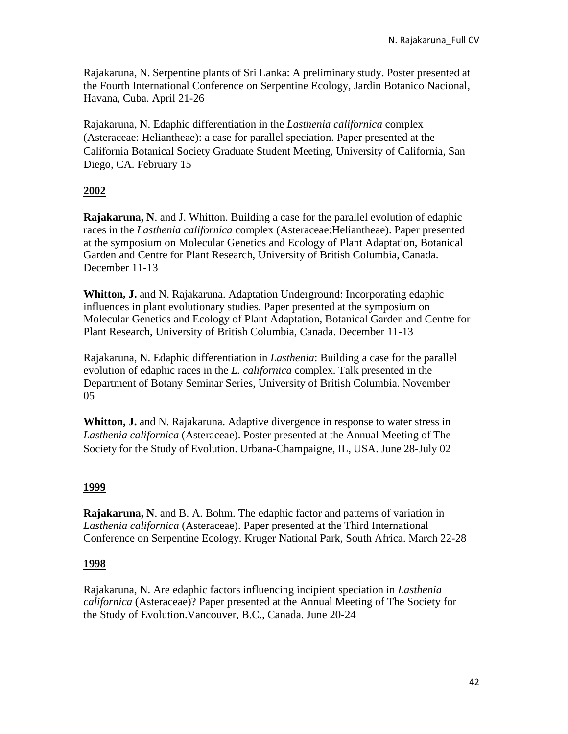Rajakaruna, N. Serpentine plants of Sri Lanka: A preliminary study. Poster presented at the Fourth International Conference on Serpentine Ecology, Jardin Botanico Nacional, Havana, Cuba. April 21-26

Rajakaruna, N. Edaphic differentiation in the *Lasthenia californica* complex (Asteraceae: Heliantheae): a case for parallel speciation. Paper presented at the California Botanical Society Graduate Student Meeting, University of California, San Diego, CA. February 15

# **2002**

**Rajakaruna, N**. and J. Whitton. Building a case for the parallel evolution of edaphic races in the *Lasthenia californica* complex (Asteraceae:Heliantheae). Paper presented at the symposium on Molecular Genetics and Ecology of Plant Adaptation, Botanical Garden and Centre for Plant Research, University of British Columbia, Canada. December 11-13

**Whitton, J.** and N. Rajakaruna. Adaptation Underground: Incorporating edaphic influences in plant evolutionary studies. Paper presented at the symposium on Molecular Genetics and Ecology of Plant Adaptation, Botanical Garden and Centre for Plant Research, University of British Columbia, Canada. December 11-13

Rajakaruna, N. Edaphic differentiation in *Lasthenia*: Building a case for the parallel evolution of edaphic races in the *L. californica* complex. Talk presented in the Department of Botany Seminar Series, University of British Columbia. November 05

**Whitton, J.** and N. Rajakaruna. Adaptive divergence in response to water stress in *Lasthenia californica* (Asteraceae). Poster presented at the Annual Meeting of The Society for the Study of Evolution. Urbana-Champaigne, IL, USA. June 28-July 02

### **1999**

**Rajakaruna, N**. and B. A. Bohm. The edaphic factor and patterns of variation in *Lasthenia californica* (Asteraceae). Paper presented at the Third International Conference on Serpentine Ecology. Kruger National Park, South Africa. March 22-28

### **1998**

Rajakaruna, N. Are edaphic factors influencing incipient speciation in *Lasthenia californica* (Asteraceae)? Paper presented at the Annual Meeting of The Society for the Study of Evolution.Vancouver, B.C., Canada. June 20-24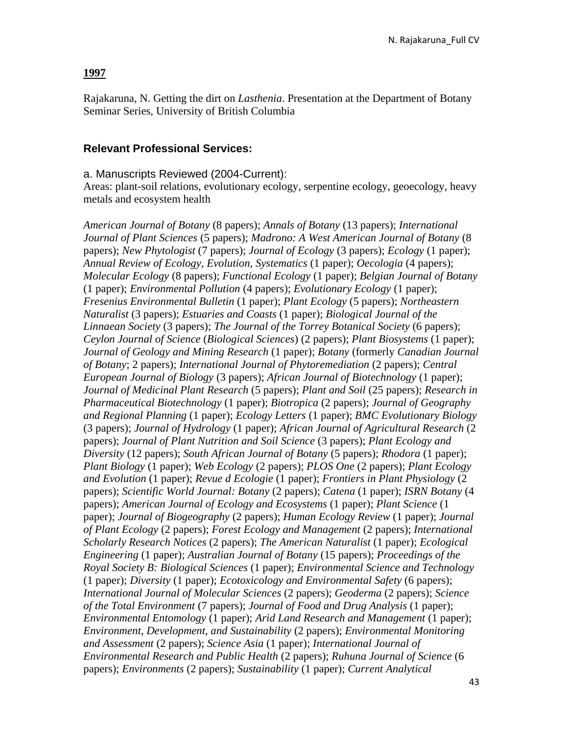#### **1997**

Rajakaruna, N. Getting the dirt on *Lasthenia*. Presentation at the Department of Botany Seminar Series, University of British Columbia

#### **Relevant Professional Services:**

#### a. Manuscripts Reviewed (2004-Current):

Areas: plant-soil relations, evolutionary ecology, serpentine ecology, geoecology, heavy metals and ecosystem health

*American Journal of Botany* (8 papers); *Annals of Botany* (13 papers); *International Journal of Plant Sciences* (5 papers); *Madrono: A West American Journal of Botany* (8 papers); *New Phytologist* (7 papers); *Journal of Ecology* (3 papers); *Ecology* (1 paper); *Annual Review of Ecology, Evolution, Systematics* (1 paper); *Oecologia* (4 papers); *Molecular Ecology* (8 papers); *Functional Ecology* (1 paper); *Belgian Journal of Botany*  (1 paper); *Environmental Pollution* (4 papers); *Evolutionary Ecology* (1 paper); *Fresenius Environmental Bulletin* (1 paper); *Plant Ecology* (5 papers); *Northeastern Naturalist* (3 papers); *Estuaries and Coasts* (1 paper); *Biological Journal of the Linnaean Society* (3 papers); *The Journal of the Torrey Botanical Society* (6 papers); *Ceylon Journal of Science* (*Biological Sciences*) (2 papers); *Plant Biosystems* (1 paper); *Journal of Geology and Mining Research* (1 paper); *Botany* (formerly *Canadian Journal of Botany*; 2 papers); *International Journal of Phytoremediation* (2 papers); *Central European Journal of Biology* (3 papers); *African Journal of Biotechnology* (1 paper); *Journal of Medicinal Plant Research* (5 papers); *Plant and Soil* (25 papers); *Research in Pharmaceutical Biotechnology* (1 paper); *Biotropica* (2 papers); *Journal of Geography and Regional Planning* (1 paper); *Ecology Letters* (1 paper); *BMC Evolutionary Biology* (3 papers); *Journal of Hydrology* (1 paper); *African Journal of Agricultural Research* (2 papers); *Journal of Plant Nutrition and Soil Science* (3 papers); *Plant Ecology and Diversity* (12 papers); *South African Journal of Botany* (5 papers); *Rhodora* (1 paper); *Plant Biology* (1 paper); *Web Ecology* (2 papers); *PLOS One* (2 papers); *Plant Ecology and Evolution* (1 paper); *Revue d Ecologie* (1 paper); *Frontiers in Plant Physiology* (2 papers); *Scientific World Journal: Botany* (2 papers); *Catena* (1 paper); *ISRN Botany* (4 papers); *American Journal of Ecology and Ecosystems* (1 paper); *Plant Science* (1 paper); *Journal of Biogeography* (2 papers); *Human Ecology Review* (1 paper); *Journal of Plant Ecology* (2 papers); *Forest Ecology and Management* (2 papers); *International Scholarly Research Notices* (2 papers); *The American Naturalist* (1 paper); *Ecological Engineering* (1 paper); *Australian Journal of Botany* (15 papers); *Proceedings of the Royal Society B: Biological Sciences* (1 paper); *Environmental Science and Technology* (1 paper); *Diversity* (1 paper); *Ecotoxicology and Environmental Safety* (6 papers); *International Journal of Molecular Sciences* (2 papers); *Geoderma* (2 papers); *Science of the Total Environment* (7 papers); *Journal of Food and Drug Analysis* (1 paper); *Environmental Entomology* (1 paper); *Arid Land Research and Management* (1 paper); *Environment, Development, and Sustainability* (2 papers); *Environmental Monitoring and Assessment* (2 papers); *Science Asia* (1 paper); *International Journal of Environmental Research and Public Health* (2 papers); *Ruhuna Journal of Science* (6 papers); *Environments* (2 papers); *Sustainability* (1 paper); *Current Analytical*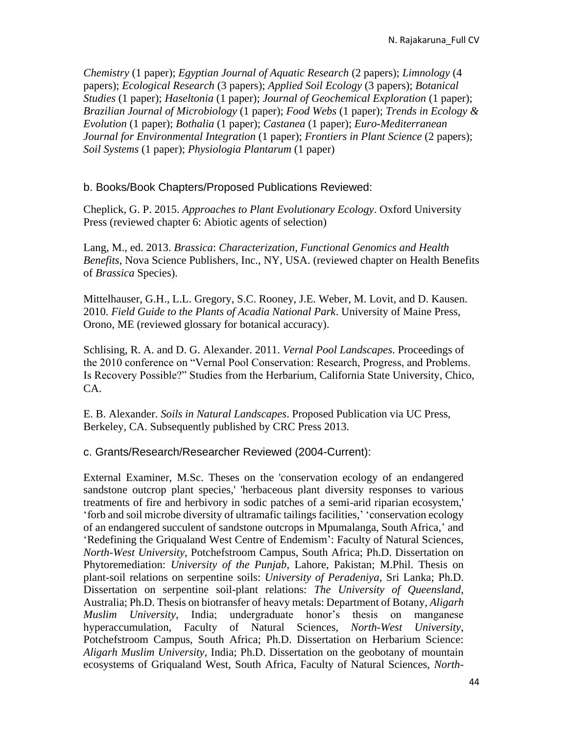*Chemistry* (1 paper); *Egyptian Journal of Aquatic Research* (2 papers); *Limnology* (4 papers); *Ecological Research* (3 papers); *Applied Soil Ecology* (3 papers); *Botanical Studies* (1 paper); *Haseltonia* (1 paper); *Journal of Geochemical Exploration* (1 paper); *Brazilian Journal of Microbiology* (1 paper); *Food Webs* (1 paper); *Trends in Ecology & Evolution* (1 paper); *Bothalia* (1 paper); *Castanea* (1 paper); *Euro-Mediterranean Journal for Environmental Integration* (1 paper); *Frontiers in Plant Science* (2 papers); *Soil Systems* (1 paper); *Physiologia Plantarum* (1 paper)

b. Books/Book Chapters/Proposed Publications Reviewed:

Cheplick, G. P. 2015. *Approaches to Plant Evolutionary Ecology*. Oxford University Press (reviewed chapter 6: Abiotic agents of selection)

Lang, M., ed. 2013. *Brassica*: *Characterization, Functional Genomics and Health Benefits*, Nova Science Publishers, Inc., NY, USA. (reviewed chapter on Health Benefits of *Brassica* Species).

Mittelhauser, G.H., L.L. Gregory, S.C. Rooney, J.E. Weber, M. Lovit, and D. Kausen. 2010. *Field Guide to the Plants of Acadia National Park*. University of Maine Press, Orono, ME (reviewed glossary for botanical accuracy).

Schlising, R. A. and D. G. Alexander. 2011. *Vernal Pool Landscapes*. Proceedings of the 2010 conference on "Vernal Pool Conservation: Research, Progress, and Problems. Is Recovery Possible?" Studies from the Herbarium, California State University, Chico, CA.

E. B. Alexander. *Soils in Natural Landscapes*. Proposed Publication via UC Press, Berkeley, CA. Subsequently published by CRC Press 2013.

### c. Grants/Research/Researcher Reviewed (2004-Current):

External Examiner, M.Sc. Theses on the 'conservation ecology of an endangered sandstone outcrop plant species,' 'herbaceous plant diversity responses to various treatments of fire and herbivory in sodic patches of a semi-arid riparian ecosystem,' 'forb and soil microbe diversity of ultramafic tailings facilities,' 'conservation ecology of an endangered succulent of sandstone outcrops in Mpumalanga, South Africa,' and 'Redefining the Griqualand West Centre of Endemism': Faculty of Natural Sciences, *North-West University*, Potchefstroom Campus, South Africa; Ph.D. Dissertation on Phytoremediation: *University of the Punjab*, Lahore, Pakistan; M.Phil. Thesis on plant-soil relations on serpentine soils: *University of Peradeniya*, Sri Lanka; Ph.D. Dissertation on serpentine soil-plant relations: *The University of Queensland*, Australia; Ph.D. Thesis on biotransfer of heavy metals: Department of Botany, *Aligarh Muslim University*, India; undergraduate honor's thesis on manganese hyperaccumulation, Faculty of Natural Sciences, *North-West University*, Potchefstroom Campus, South Africa; Ph.D. Dissertation on Herbarium Science: *Aligarh Muslim University*, India; Ph.D. Dissertation on the geobotany of mountain ecosystems of Griqualand West, South Africa, Faculty of Natural Sciences, *North-*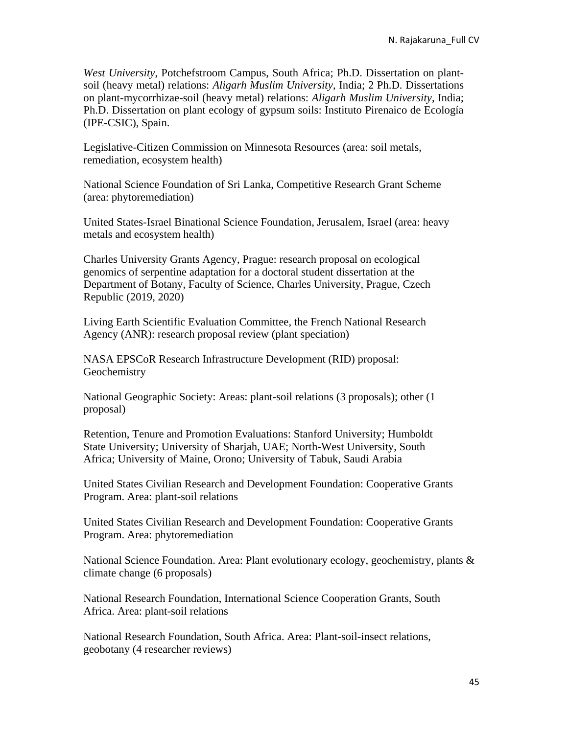*West University*, Potchefstroom Campus, South Africa; Ph.D. Dissertation on plantsoil (heavy metal) relations: *Aligarh Muslim University*, India; 2 Ph.D. Dissertations on plant-mycorrhizae-soil (heavy metal) relations: *Aligarh Muslim University*, India; Ph.D. Dissertation on plant ecology of gypsum soils: Instituto Pirenaico de Ecología (IPE-CSIC), Spain.

Legislative-Citizen Commission on Minnesota Resources (area: soil metals, remediation, ecosystem health)

National Science Foundation of Sri Lanka, Competitive Research Grant Scheme (area: phytoremediation)

United States-Israel Binational Science Foundation, Jerusalem, Israel (area: heavy metals and ecosystem health)

Charles University Grants Agency, Prague: research proposal on ecological genomics of serpentine adaptation for a doctoral student dissertation at the Department of Botany, Faculty of Science, Charles University, Prague, Czech Republic (2019, 2020)

Living Earth Scientific Evaluation Committee, the French National Research Agency (ANR): research proposal review (plant speciation)

NASA EPSCoR Research Infrastructure Development (RID) proposal: **Geochemistry** 

National Geographic Society: Areas: plant-soil relations (3 proposals); other (1 proposal)

Retention, Tenure and Promotion Evaluations: Stanford University; Humboldt State University; University of Sharjah, UAE; North-West University, South Africa; University of Maine, Orono; University of Tabuk, Saudi Arabia

United States Civilian Research and Development Foundation: Cooperative Grants Program. Area: plant-soil relations

United States Civilian Research and Development Foundation: Cooperative Grants Program. Area: phytoremediation

National Science Foundation. Area: Plant evolutionary ecology, geochemistry, plants & climate change (6 proposals)

National Research Foundation, International Science Cooperation Grants, South Africa. Area: plant-soil relations

National Research Foundation, South Africa. Area: Plant-soil-insect relations, geobotany (4 researcher reviews)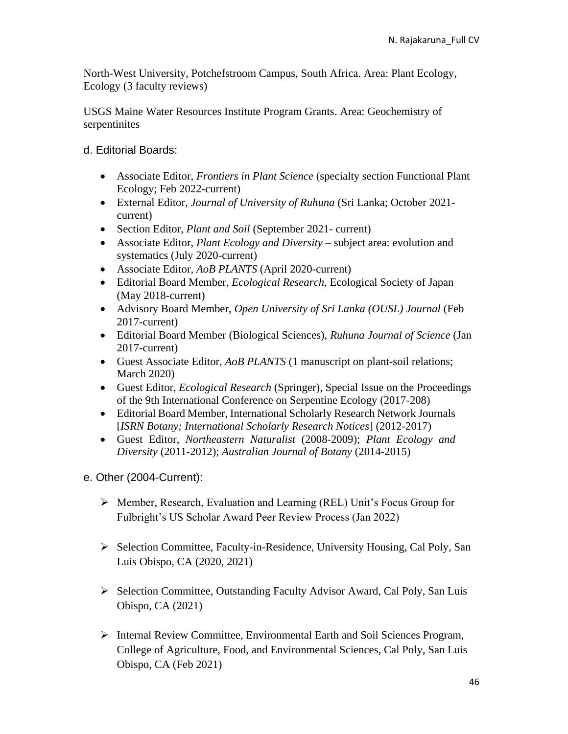North-West University, Potchefstroom Campus, South Africa. Area: Plant Ecology, Ecology (3 faculty reviews)

USGS Maine Water Resources Institute Program Grants. Area: Geochemistry of serpentinites

d. Editorial Boards:

- Associate Editor, *Frontiers in Plant Science* (specialty section Functional Plant Ecology; Feb 2022-current)
- External Editor, *Journal of University of Ruhuna* (Sri Lanka; October 2021 current)
- Section Editor, *Plant and Soil* (September 2021- current)
- Associate Editor, *Plant Ecology and Diversity* subject area: evolution and systematics (July 2020-current)
- Associate Editor, *AoB PLANTS* (April 2020-current)
- Editorial Board Member, *Ecological Research*, Ecological Society of Japan (May 2018-current)
- Advisory Board Member, *Open University of Sri Lanka (OUSL) Journal* (Feb 2017-current)
- Editorial Board Member (Biological Sciences), *Ruhuna Journal of Science* (Jan 2017-current)
- Guest Associate Editor, *AoB PLANTS* (1 manuscript on plant-soil relations; March 2020)
- Guest Editor, *Ecological Research* (Springer), Special Issue on the Proceedings of the 9th International Conference on Serpentine Ecology (2017-208)
- Editorial Board Member, International Scholarly Research Network Journals [*ISRN Botany; International Scholarly Research Notices*] (2012-2017)
- Guest Editor, *Northeastern Naturalist* (2008-2009); *Plant Ecology and Diversity* (2011-2012); *Australian Journal of Botany* (2014-2015)
- e. Other (2004-Current):
	- ➢ Member, Research, Evaluation and Learning (REL) Unit's Focus Group for Fulbright's US Scholar Award Peer Review Process (Jan 2022)
	- ➢ Selection Committee, Faculty-in-Residence, University Housing, Cal Poly, San Luis Obispo, CA (2020, 2021)
	- ➢ Selection Committee, Outstanding Faculty Advisor Award, Cal Poly, San Luis Obispo, CA (2021)
	- ➢ Internal Review Committee, Environmental Earth and Soil Sciences Program, College of Agriculture, Food, and Environmental Sciences, Cal Poly, San Luis Obispo, CA (Feb 2021)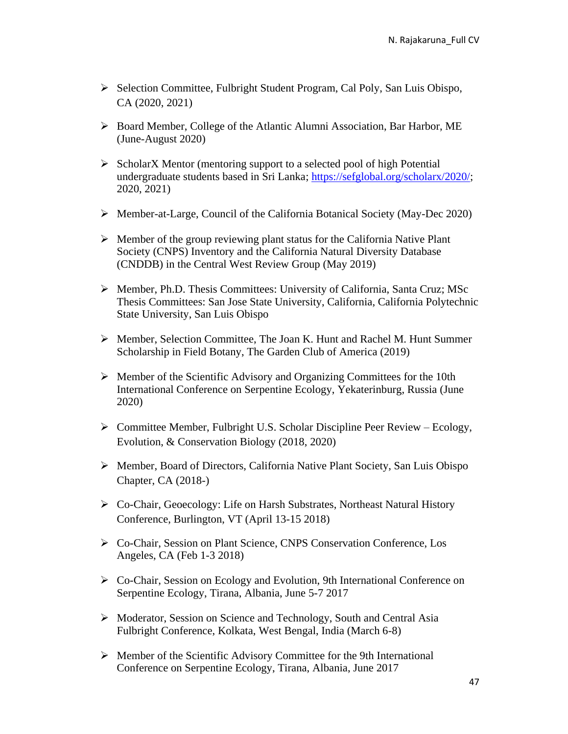- ➢ Selection Committee, Fulbright Student Program, Cal Poly, San Luis Obispo, CA (2020, 2021)
- ➢ Board Member, College of the Atlantic Alumni Association, Bar Harbor, ME (June-August 2020)
- ➢ ScholarX Mentor (mentoring support to a selected pool of high Potential undergraduate students based in Sri Lanka; [https://sefglobal.org/scholarx/2020/;](https://sefglobal.org/scholarx/2020/) 2020, 2021)
- ➢ Member-at-Large, Council of the California Botanical Society (May-Dec 2020)
- ➢ Member of the group reviewing plant status for the California Native Plant Society (CNPS) Inventory and the California Natural Diversity Database (CNDDB) in the Central West Review Group (May 2019)
- ➢ Member, Ph.D. Thesis Committees: University of California, Santa Cruz; MSc Thesis Committees: San Jose State University, California, California Polytechnic State University, San Luis Obispo
- ➢ Member, Selection Committee, The Joan K. Hunt and Rachel M. Hunt Summer Scholarship in Field Botany, The Garden Club of America (2019)
- ➢ Member of the Scientific Advisory and Organizing Committees for the 10th International Conference on Serpentine Ecology, Yekaterinburg, Russia (June 2020)
- ➢ Committee Member, Fulbright U.S. Scholar Discipline Peer Review Ecology, Evolution, & Conservation Biology (2018, 2020)
- ➢ Member, Board of Directors, California Native Plant Society, San Luis Obispo Chapter, CA (2018-)
- ➢ Co-Chair, Geoecology: Life on Harsh Substrates, Northeast Natural History Conference, Burlington, VT (April 13-15 2018)
- ➢ Co-Chair, Session on Plant Science, CNPS Conservation Conference, Los Angeles, CA (Feb 1-3 2018)
- ➢ Co-Chair, Session on Ecology and Evolution, 9th International Conference on Serpentine Ecology, Tirana, Albania, June 5-7 2017
- ➢ Moderator, Session on Science and Technology, South and Central Asia Fulbright Conference, Kolkata, West Bengal, India (March 6-8)
- ➢ Member of the Scientific Advisory Committee for the 9th International Conference on Serpentine Ecology, Tirana, Albania, June 2017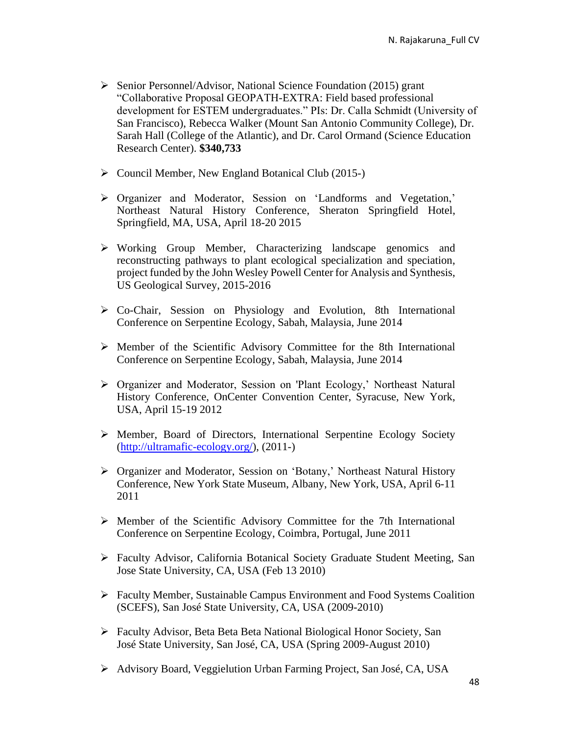- ➢ Senior Personnel/Advisor, National Science Foundation (2015) grant "Collaborative Proposal GEOPATH-EXTRA: Field based professional development for ESTEM undergraduates." PIs: Dr. Calla Schmidt (University of San Francisco), Rebecca Walker (Mount San Antonio Community College), Dr. Sarah Hall (College of the Atlantic), and Dr. Carol Ormand (Science Education Research Center). **\$340,733**
- ➢ Council Member, New England Botanical Club (2015-)
- ➢ Organizer and Moderator, Session on 'Landforms and Vegetation,' Northeast Natural History Conference, Sheraton Springfield Hotel, Springfield, MA, USA, April 18-20 2015
- ➢ Working Group Member, Characterizing landscape genomics and reconstructing pathways to plant ecological specialization and speciation, project funded by the John Wesley Powell Center for Analysis and Synthesis, US Geological Survey, 2015-2016
- ➢ Co-Chair, Session on Physiology and Evolution, 8th International Conference on Serpentine Ecology, Sabah, Malaysia, June 2014
- ➢ Member of the Scientific Advisory Committee for the 8th International Conference on Serpentine Ecology, Sabah, Malaysia, June 2014
- ➢ Organizer and Moderator, Session on 'Plant Ecology,' Northeast Natural History Conference, OnCenter Convention Center, Syracuse, New York, USA, April 15-19 2012
- ➢ Member, Board of Directors, International Serpentine Ecology Society [\(http://ultramafic-ecology.org/\)](http://ultramafic-ecology.org/), (2011-)
- ➢ Organizer and Moderator, Session on 'Botany,' Northeast Natural History Conference, New York State Museum, Albany, New York, USA, April 6-11 2011
- ➢ Member of the Scientific Advisory Committee for the 7th International Conference on Serpentine Ecology, Coimbra, Portugal, June 2011
- ➢ Faculty Advisor, California Botanical Society Graduate Student Meeting, San Jose State University, CA, USA (Feb 13 2010)
- ➢ Faculty Member, Sustainable Campus Environment and Food Systems Coalition (SCEFS), San José State University, CA, USA (2009-2010)
- ➢ Faculty Advisor, Beta Beta Beta National Biological Honor Society, San José State University, San José, CA, USA (Spring 2009-August 2010)
- ➢ Advisory Board, Veggielution Urban Farming Project, San José, CA, USA